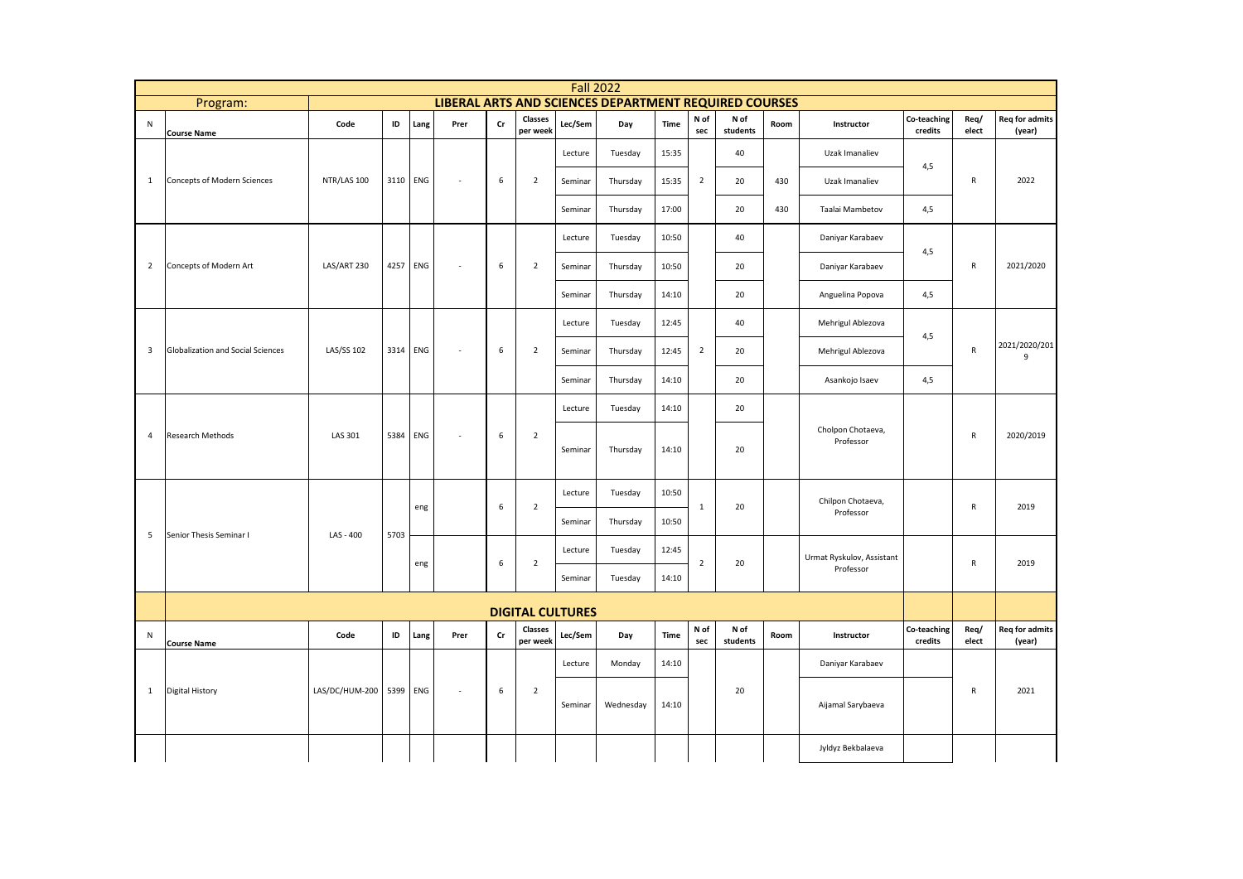|                         |                                   |                |      |            |      |               |                         | <b>Fall 2022</b> |                                                       |       |                |                  |      |                                |                        |               |                                 |
|-------------------------|-----------------------------------|----------------|------|------------|------|---------------|-------------------------|------------------|-------------------------------------------------------|-------|----------------|------------------|------|--------------------------------|------------------------|---------------|---------------------------------|
|                         | Program:                          |                |      |            |      |               |                         |                  | LIBERAL ARTS AND SCIENCES DEPARTMENT REQUIRED COURSES |       |                |                  |      |                                |                        |               |                                 |
| ${\sf N}$               | <b>Course Name</b>                | Code           | ID   | Lang       | Prer | $\mathsf{Cr}$ | Classes<br>per week     | Lec/Sem          | Day                                                   | Time  | N of<br>sec    | N of<br>students | Room | Instructor                     | Co-teaching<br>credits | Req/<br>elect | <b>Req for admits</b><br>(year) |
|                         |                                   |                |      |            |      |               |                         | Lecture          | Tuesday                                               | 15:35 |                | 40               |      | Uzak Imanaliev                 | 4,5                    |               |                                 |
| $\mathbf{1}$            | Concepts of Modern Sciences       | NTR/LAS 100    | 3110 | ENG        | ×,   | 6             | $\overline{2}$          | Seminar          | Thursday                                              | 15:35 | $\overline{2}$ | 20               | 430  | Uzak Imanaliev                 |                        | ${\sf R}$     | 2022                            |
|                         |                                   |                |      |            |      |               |                         | Seminar          | Thursday                                              | 17:00 |                | 20               | 430  | Taalai Mambetov                | 4,5                    |               |                                 |
|                         |                                   |                |      |            |      |               |                         | Lecture          | Tuesday                                               | 10:50 |                | 40               |      | Daniyar Karabaev               |                        |               |                                 |
| $\overline{2}$          | Concepts of Modern Art            | LAS/ART 230    | 4257 | <b>ENG</b> | ×.   | 6             | $\overline{2}$          | Seminar          | Thursday                                              | 10:50 |                | 20               |      | Daniyar Karabaev               | 4,5                    | R             | 2021/2020                       |
|                         |                                   |                |      |            |      |               |                         | Seminar          | Thursday                                              | 14:10 |                | 20               |      | Anguelina Popova               | 4,5                    |               |                                 |
|                         |                                   |                |      |            |      |               |                         | Lecture          | Tuesday                                               | 12:45 |                | 40               |      | Mehrigul Ablezova              |                        |               |                                 |
| $\overline{\mathbf{3}}$ | Globalization and Social Sciences | LAS/SS 102     | 3314 | ENG        | ×,   | 6             | $\overline{2}$          | Seminar          | Thursday                                              | 12:45 | $\overline{2}$ | 20               |      | Mehrigul Ablezova              | 4,5                    | ${\sf R}$     | 2021/2020/201<br>9              |
|                         |                                   |                |      |            |      |               |                         | Seminar          | Thursday                                              | 14:10 |                | 20               |      | Asankojo Isaev                 | 4,5                    |               |                                 |
|                         |                                   |                |      |            |      |               |                         | Lecture          | Tuesday                                               | 14:10 |                | 20               |      |                                |                        |               |                                 |
| $\overline{4}$          | Research Methods                  | LAS 301        | 5384 | <b>ENG</b> | ٠    | 6             | $\overline{2}$          | Seminar          | Thursday                                              | 14:10 |                | 20               |      | Cholpon Chotaeva,<br>Professor |                        | R             | 2020/2019                       |
|                         |                                   |                |      | eng        |      | 6             | $\overline{2}$          | Lecture          | Tuesday                                               | 10:50 | $\mathbf{1}$   | 20               |      | Chilpon Chotaeva,              |                        | $\mathsf{R}$  | 2019                            |
| 5                       | Senior Thesis Seminar I           | LAS - 400      | 5703 |            |      |               |                         | Seminar          | Thursday                                              | 10:50 |                |                  |      | Professor                      |                        |               |                                 |
|                         |                                   |                |      | eng        |      | 6             | $\mathbf 2$             | Lecture          | Tuesday                                               | 12:45 | $\overline{2}$ | 20               |      | Urmat Ryskulov, Assistant      |                        | $\mathsf{R}$  | 2019                            |
|                         |                                   |                |      |            |      |               |                         | Seminar          | Tuesday                                               | 14:10 |                |                  |      | Professor                      |                        |               |                                 |
|                         |                                   |                |      |            |      |               | <b>DIGITAL CULTURES</b> |                  |                                                       |       |                |                  |      |                                |                        |               |                                 |
| N                       | <b>Course Name</b>                | Code           | ID   | Lang       | Prer | $\mathsf{Cr}$ | Classes<br>per week     | Lec/Sem          | Day                                                   | Time  | N of<br>sec    | N of<br>students | Room | Instructor                     | Co-teaching<br>credits | Req/<br>elect | <b>Req for admits</b><br>(year) |
|                         |                                   |                |      |            |      |               |                         | Lecture          | Monday                                                | 14:10 |                |                  |      | Daniyar Karabaev               |                        |               |                                 |
| $\mathbf{1}$            | <b>Digital History</b>            | LAS/DC/HUM-200 | 5399 | ENG        | ÷,   | 6             | $\overline{2}$          | Seminar          | Wednesday                                             | 14:10 |                | 20               |      | Aijamal Sarybaeva              |                        | $\mathsf{R}$  | 2021                            |
|                         |                                   |                |      |            |      |               |                         |                  |                                                       |       |                |                  |      | Jyldyz Bekbalaeva              |                        |               |                                 |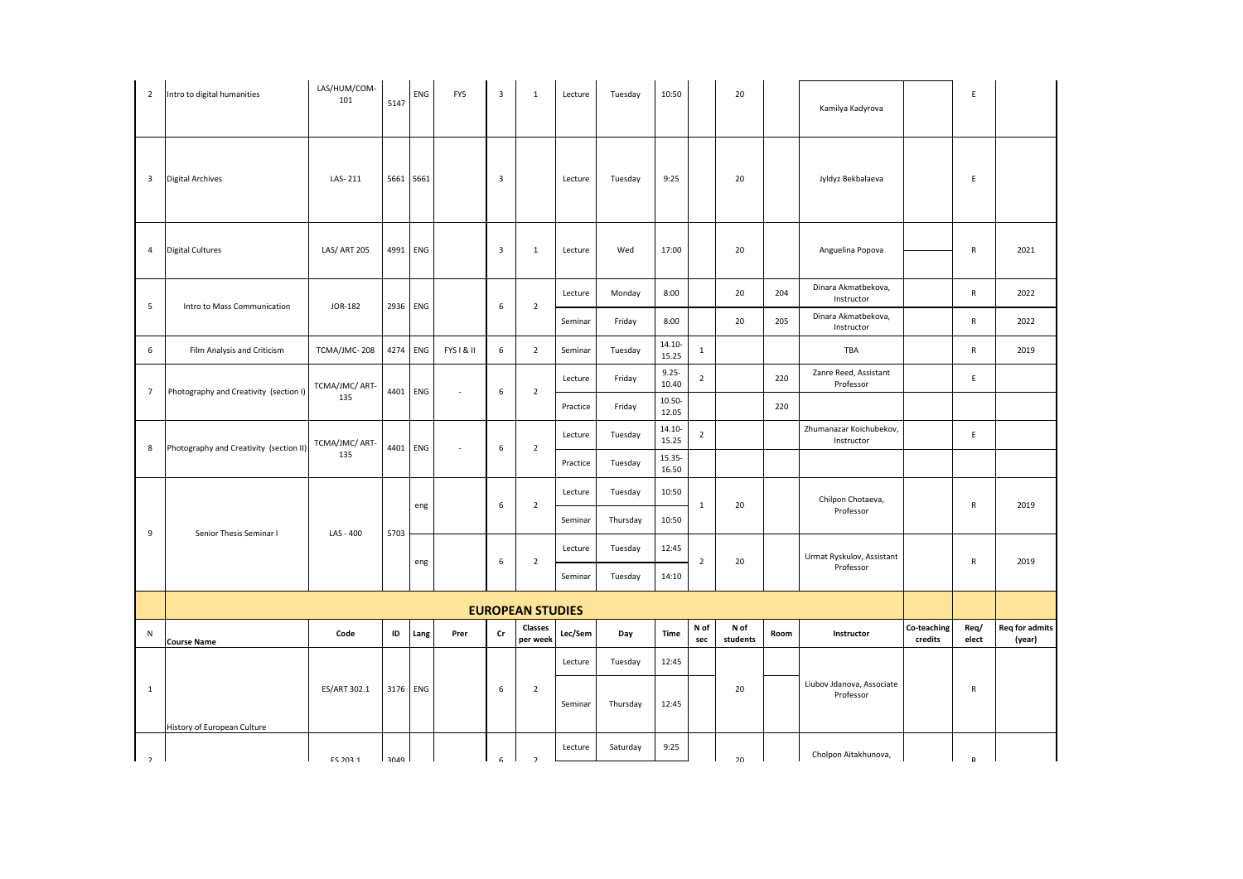| $\overline{2}$ | Intro to digital humanities             | LAS/HUM/COM-<br>101 | 5147 | ENG       | <b>FYS</b>               | $\overline{3}$          | 1                       | Lecture  | Tuesday  | 10:50              |                | 20               |      | Kamilya Kadyrova                       |                        | E             |                                 |
|----------------|-----------------------------------------|---------------------|------|-----------|--------------------------|-------------------------|-------------------------|----------|----------|--------------------|----------------|------------------|------|----------------------------------------|------------------------|---------------|---------------------------------|
| $\overline{3}$ | <b>Digital Archives</b>                 | LAS-211             |      | 5661 5661 |                          | $\mathsf 3$             |                         | Lecture  | Tuesday  | 9:25               |                | 20               |      | Jyldyz Bekbalaeva                      |                        | E             |                                 |
| $\overline{4}$ | <b>Digital Cultures</b>                 | LAS/ ART 205        | 4991 | ENG       |                          | $\overline{\mathbf{3}}$ | $\mathbf{1}$            | Lecture  | Wed      | 17:00              |                | 20               |      | Anguelina Popova                       |                        | $\mathsf{R}$  | 2021                            |
| 5              | Intro to Mass Communication             | JOR-182             | 2936 | ENG       |                          | $\,6\,$                 | $\overline{2}$          | Lecture  | Monday   | 8:00               |                | 20               | 204  | Dinara Akmatbekova,<br>Instructor      |                        | $\mathsf{R}$  | 2022                            |
|                |                                         |                     |      |           |                          |                         |                         | Seminar  | Friday   | 8:00               |                | 20               | 205  | Dinara Akmatbekova,<br>Instructor      |                        | $\mathsf{R}$  | 2022                            |
| 6              | Film Analysis and Criticism             | TCMA/JMC-208        | 4274 | ENG       | FYS I & II               | 6                       | $\overline{2}$          | Seminar  | Tuesday  | $14.10 -$<br>15.25 | $\mathbf{1}$   |                  |      | TBA                                    |                        | $\mathsf{R}$  | 2019                            |
| $\overline{7}$ | Photography and Creativity (section I)  | TCMA/JMC/ ART-      | 4401 | ENG       | $\overline{\phantom{a}}$ | 6                       | $\overline{2}$          | Lecture  | Friday   | $9.25 -$<br>10.40  | $\overline{2}$ |                  | 220  | Zanre Reed, Assistant<br>Professor     |                        | E             |                                 |
|                |                                         | 135                 |      |           |                          |                         |                         | Practice | Friday   | $10.50 -$<br>12.05 |                |                  | 220  |                                        |                        |               |                                 |
| 8              | Photography and Creativity (section II) | TCMA/JMC/ ART-      | 4401 | ENG       | $\sim$                   | $\boldsymbol{6}$        | $\overline{2}$          | Lecture  | Tuesday  | $14.10 -$<br>15.25 | $\overline{2}$ |                  |      | Zhumanazar Koichubekov,<br>Instructor  |                        | E             |                                 |
|                |                                         | 135                 |      |           |                          |                         |                         | Practice | Tuesday  | 15.35-<br>16.50    |                |                  |      |                                        |                        |               |                                 |
|                |                                         |                     |      | eng       |                          | $\,6\,$                 | $\overline{2}$          | Lecture  | Tuesday  | 10:50              | $\mathbf{1}$   | 20               |      | Chilpon Chotaeva,                      |                        | R             | 2019                            |
| 9              | Senior Thesis Seminar I                 | LAS - 400           | 5703 |           |                          |                         |                         | Seminar  | Thursday | 10:50              |                |                  |      | Professor                              |                        |               |                                 |
|                |                                         |                     |      | eng       |                          | $\,6\,$                 | $\overline{2}$          | Lecture  | Tuesday  | 12:45              | $\sqrt{2}$     | 20               |      | Urmat Ryskulov, Assistant              |                        | ${\sf R}$     | 2019                            |
|                |                                         |                     |      |           |                          |                         |                         | Seminar  | Tuesday  | 14:10              |                |                  |      | Professor                              |                        |               |                                 |
|                |                                         |                     |      |           |                          |                         | <b>EUROPEAN STUDIES</b> |          |          |                    |                |                  |      |                                        |                        |               |                                 |
| ${\sf N}$      | <b>Course Name</b>                      | Code                | ID   | Lang      | Prer                     | cr                      | Classes<br>per week     | Lec/Sem  | Day      | Time               | N of<br>sec    | N of<br>students | Room | Instructor                             | Co-teaching<br>credits | Req/<br>elect | <b>Req for admits</b><br>(year) |
|                |                                         |                     |      |           |                          |                         |                         | Lecture  | Tuesday  | 12:45              |                |                  |      |                                        |                        |               |                                 |
| $\mathbf{1}$   |                                         | ES/ART 302.1        |      | 3176 ENG  |                          | 6                       | $\overline{2}$          | Seminar  | Thursday | 12:45              |                | 20               |      | Liubov Jdanova, Associate<br>Professor |                        | R             |                                 |
| $\overline{2}$ | History of European Culture             | <b>FS 203 1</b>     | 3040 |           |                          | $\mathsf{G}$            | $\overline{ }$          | Lecture  | Saturday | 9:25               |                | 20               |      | Cholpon Aitakhunova,                   |                        |               |                                 |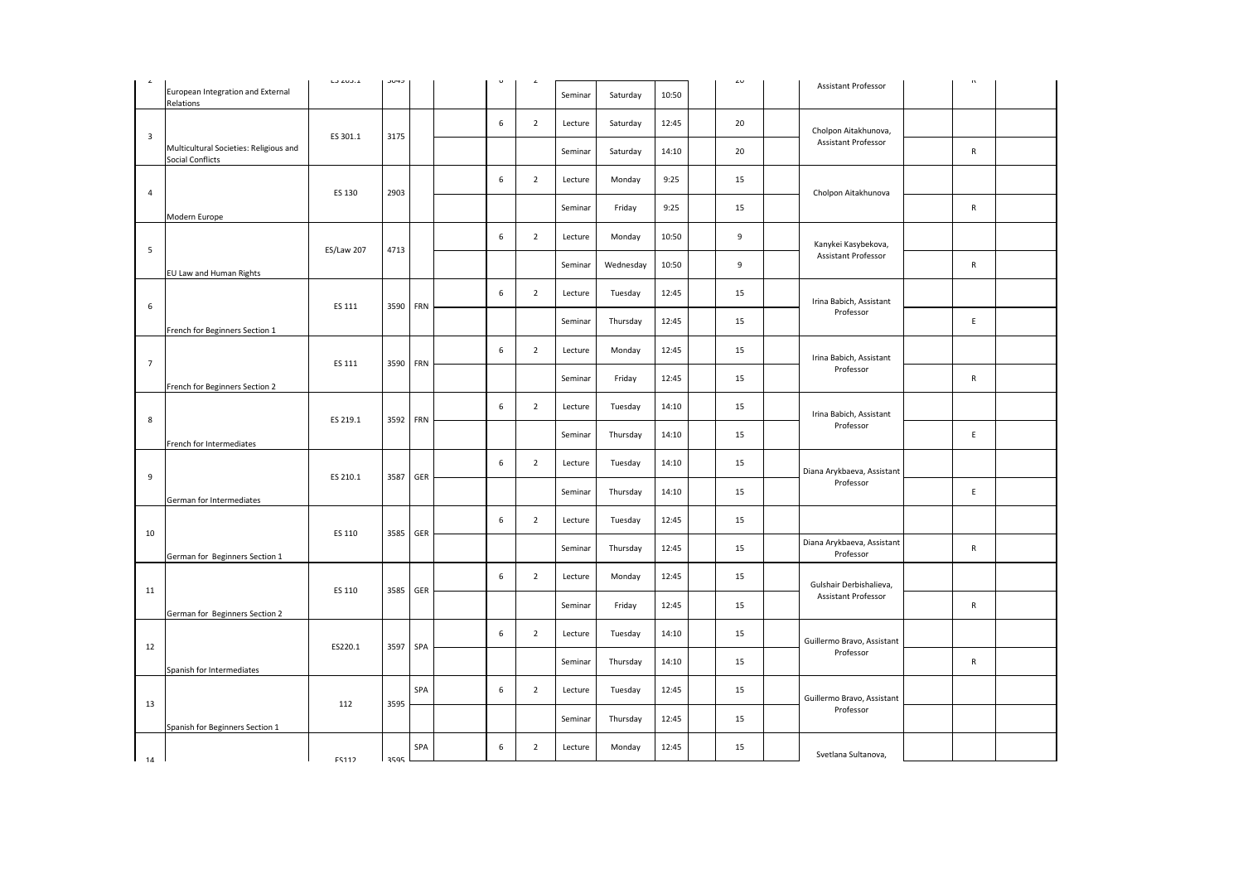|                         | European Integration and External<br>Relations             | LUZUJ.I           | しいやし |          |             |                | Seminar | Saturday  | 10:50 | 4U | Assistant Professor                     | $\alpha$     |  |
|-------------------------|------------------------------------------------------------|-------------------|------|----------|-------------|----------------|---------|-----------|-------|----|-----------------------------------------|--------------|--|
| $\overline{\mathbf{3}}$ |                                                            | ES 301.1          | 3175 |          | 6           | $\overline{2}$ | Lecture | Saturday  | 12:45 | 20 | Cholpon Aitakhunova,                    |              |  |
|                         | Multicultural Societies: Religious and<br>Social Conflicts |                   |      |          |             |                | Seminar | Saturday  | 14:10 | 20 | Assistant Professor                     | $\mathsf{R}$ |  |
| $\overline{4}$          |                                                            | ES 130            | 2903 |          | 6           | $\overline{2}$ | Lecture | Monday    | 9:25  | 15 |                                         |              |  |
|                         | Modern Europe                                              |                   |      |          |             |                | Seminar | Friday    | 9:25  | 15 | Cholpon Aitakhunova                     | $\mathsf{R}$ |  |
|                         |                                                            |                   |      |          | 6           | $\overline{2}$ | Lecture | Monday    | 10:50 | 9  | Kanykei Kasybekova,                     |              |  |
| 5                       | EU Law and Human Rights                                    | <b>ES/Law 207</b> | 4713 |          |             |                | Seminar | Wednesday | 10:50 | 9  | Assistant Professor                     | $\mathsf{R}$ |  |
|                         |                                                            |                   |      |          | 6           | $\overline{2}$ | Lecture | Tuesday   | 12:45 | 15 | Irina Babich, Assistant                 |              |  |
| 6                       | French for Beginners Section 1                             | ES 111            | 3590 | FRN      |             |                | Seminar | Thursday  | 12:45 | 15 | Professor                               | E            |  |
| $\overline{7}$          |                                                            | ES 111            |      | FRN      | 6           | $\overline{2}$ | Lecture | Monday    | 12:45 | 15 | Irina Babich, Assistant                 |              |  |
|                         | French for Beginners Section 2                             |                   | 3590 |          |             |                | Seminar | Friday    | 12:45 | 15 | Professor                               | $\mathsf{R}$ |  |
|                         |                                                            |                   |      |          | 6           | $\overline{2}$ | Lecture | Tuesday   | 14:10 | 15 | Irina Babich, Assistant                 |              |  |
| 8                       | French for Intermediates                                   | ES 219.1          |      | 3592 FRN |             |                | Seminar | Thursday  | 14:10 | 15 | Professor                               | E            |  |
|                         |                                                            |                   |      |          | 6           | $\overline{2}$ | Lecture | Tuesday   | 14:10 | 15 | Diana Arykbaeva, Assistant              |              |  |
| 9                       | German for Intermediates                                   | ES 210.1          | 3587 | GER      |             |                | Seminar | Thursday  | 14:10 | 15 | Professor                               | E            |  |
|                         |                                                            |                   |      |          | $\,$ 6 $\,$ | $\overline{2}$ | Lecture | Tuesday   | 12:45 | 15 |                                         |              |  |
| 10                      | German for Beginners Section 1                             | ES 110            | 3585 | GER      |             |                | Seminar | Thursday  | 12:45 | 15 | Diana Arykbaeva, Assistant<br>Professor | $\mathsf{R}$ |  |
|                         |                                                            |                   |      |          | 6           | $\overline{2}$ | Lecture | Monday    | 12:45 | 15 | Gulshair Derbishalieva,                 |              |  |
| 11                      | German for Beginners Section 2                             | ES 110            | 3585 | GER      |             |                | Seminar | Friday    | 12:45 | 15 | Assistant Professor                     | $\mathsf{R}$ |  |
|                         |                                                            |                   |      |          | 6           | $\overline{2}$ | Lecture | Tuesday   | 14:10 | 15 | Guillermo Bravo, Assistant              |              |  |
| 12                      | Spanish for Intermediates                                  | ES220.1           | 3597 | SPA      |             |                | Seminar | Thursday  | 14:10 | 15 | Professor                               | $\mathsf{R}$ |  |
|                         |                                                            |                   |      | SPA      | 6           | $\overline{2}$ | Lecture | Tuesday   | 12:45 | 15 | Guillermo Bravo, Assistant              |              |  |
| 13                      | Spanish for Beginners Section 1                            | 112               | 3595 |          |             |                | Seminar | Thursday  | 12:45 | 15 | Professor                               |              |  |
|                         |                                                            | <b>FS112</b>      |      | SPA      | 6           | $\overline{2}$ | Lecture | Monday    | 12:45 | 15 | Svetlana Sultanova,                     |              |  |
| 14                      |                                                            |                   | 2505 |          |             |                |         |           |       |    |                                         |              |  |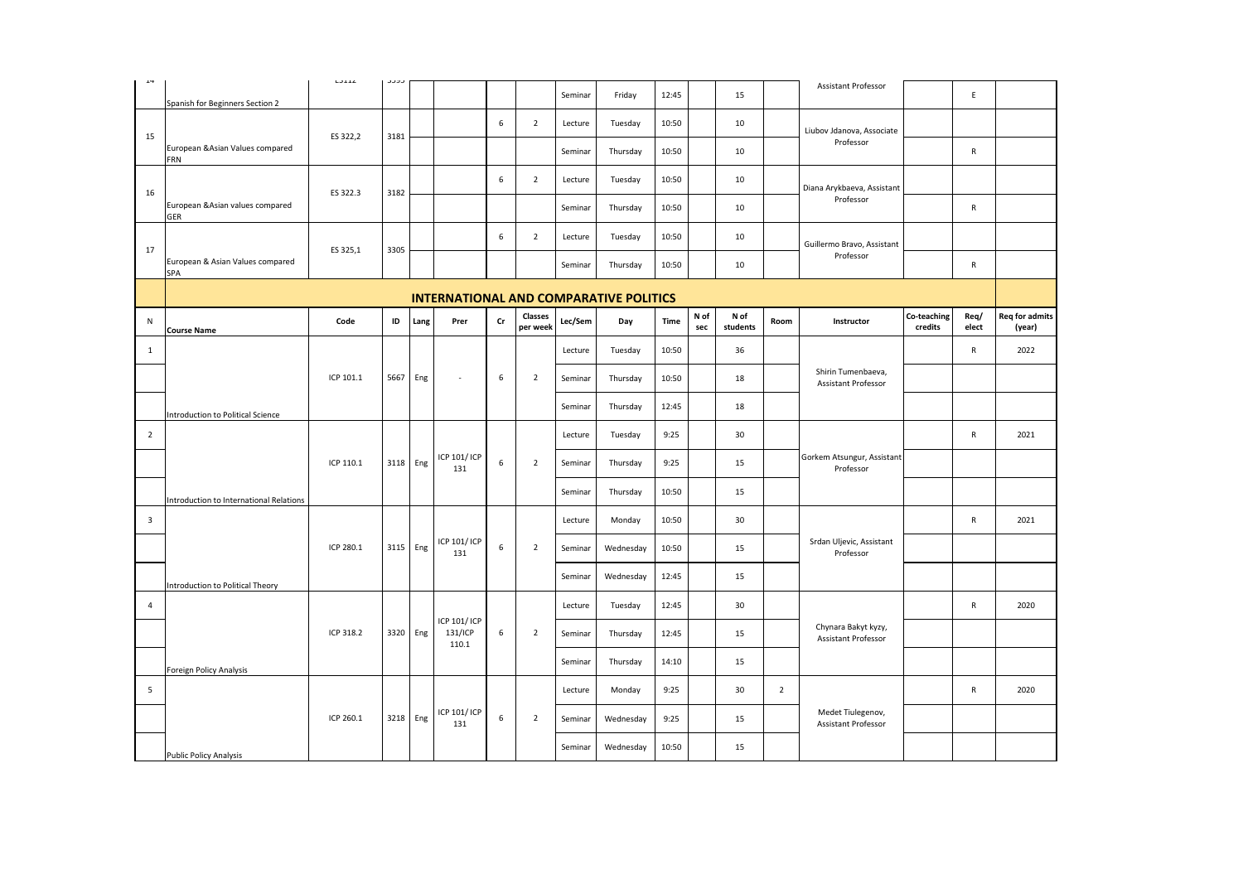| $\star\star$            |                                         | LUILL     | ر ر ر ر |          |                                  |    |                     |         |                                               |       |             |                  |                |                                            |                        |               |                                 |
|-------------------------|-----------------------------------------|-----------|---------|----------|----------------------------------|----|---------------------|---------|-----------------------------------------------|-------|-------------|------------------|----------------|--------------------------------------------|------------------------|---------------|---------------------------------|
|                         | Spanish for Beginners Section 2         |           |         |          |                                  |    |                     | Seminar | Friday                                        | 12:45 |             | 15               |                | <b>Assistant Professor</b>                 |                        | $\mathsf E$   |                                 |
|                         |                                         |           |         |          |                                  | 6  | $\overline{2}$      | Lecture | Tuesday                                       | 10:50 |             | 10               |                | Liubov Jdanova, Associate                  |                        |               |                                 |
| 15                      | European & Asian Values compared<br>FRN | ES 322,2  | 3181    |          |                                  |    |                     | Seminar | Thursday                                      | 10:50 |             | 10               |                | Professor                                  |                        | R             |                                 |
|                         |                                         |           |         |          |                                  | 6  | $\overline{2}$      | Lecture | Tuesday                                       | 10:50 |             | 10               |                | Diana Arykbaeva, Assistant                 |                        |               |                                 |
| 16                      | European & Asian values compared<br>GER | ES 322.3  | 3182    |          |                                  |    |                     | Seminar | Thursday                                      | 10:50 |             | 10               |                | Professor                                  |                        | $\mathsf{R}$  |                                 |
|                         |                                         |           |         |          |                                  | 6  | $\overline{2}$      | Lecture | Tuesday                                       | 10:50 |             | 10               |                | Guillermo Bravo, Assistant                 |                        |               |                                 |
| 17                      | European & Asian Values compared<br>SPA | ES 325,1  | 3305    |          |                                  |    |                     | Seminar | Thursday                                      | 10:50 |             | 10               |                | Professor                                  |                        | ${\sf R}$     |                                 |
|                         |                                         |           |         |          |                                  |    |                     |         | <b>INTERNATIONAL AND COMPARATIVE POLITICS</b> |       |             |                  |                |                                            |                        |               |                                 |
| N                       | <b>Course Name</b>                      | Code      | ID      | Lang     | Prer                             | Cr | Classes<br>per week | Lec/Sem | Day                                           | Time  | N of<br>sec | N of<br>students | Room           | Instructor                                 | Co-teaching<br>credits | Req/<br>elect | <b>Req for admits</b><br>(year) |
| $\mathbf{1}$            |                                         |           |         |          |                                  |    |                     | Lecture | Tuesday                                       | 10:50 |             | 36               |                |                                            |                        | $\mathsf{R}$  | 2022                            |
|                         |                                         | ICP 101.1 | 5667    | Eng      | $\sim$                           | 6  | $\overline{2}$      | Seminar | Thursday                                      | 10:50 |             | 18               |                | Shirin Tumenbaeva,<br>Assistant Professor  |                        |               |                                 |
|                         | Introduction to Political Science       |           |         |          |                                  |    |                     | Seminar | Thursday                                      | 12:45 |             | 18               |                |                                            |                        |               |                                 |
| $\overline{2}$          |                                         |           |         |          |                                  |    |                     | Lecture | Tuesday                                       | 9:25  |             | 30               |                |                                            |                        | ${\sf R}$     | 2021                            |
|                         |                                         | ICP 110.1 |         | 3118 Eng | ICP 101/ ICP<br>131              | 6  | $\overline{2}$      | Seminar | Thursday                                      | 9:25  |             | 15               |                | Gorkem Atsungur, Assistant<br>Professor    |                        |               |                                 |
|                         | Introduction to International Relations |           |         |          |                                  |    |                     | Seminar | Thursday                                      | 10:50 |             | 15               |                |                                            |                        |               |                                 |
| $\overline{\mathbf{3}}$ |                                         |           |         |          |                                  |    |                     | Lecture | Monday                                        | 10:50 |             | 30               |                |                                            |                        | ${\sf R}$     | 2021                            |
|                         |                                         | ICP 280.1 |         | 3115 Eng | ICP 101/ ICP<br>131              | 6  | $\overline{2}$      | Seminar | Wednesday                                     | 10:50 |             | 15               |                | Srdan Uljevic, Assistant<br>Professor      |                        |               |                                 |
|                         | Introduction to Political Theory        |           |         |          |                                  |    |                     | Seminar | Wednesday                                     | 12:45 |             | 15               |                |                                            |                        |               |                                 |
| $\overline{4}$          |                                         |           |         |          |                                  |    |                     | Lecture | Tuesday                                       | 12:45 |             | 30               |                |                                            |                        | $\mathsf{R}$  | 2020                            |
|                         |                                         | ICP 318.2 |         | 3320 Eng | ICP 101/ ICP<br>131/ICP<br>110.1 | 6  | $\overline{2}$      | Seminar | Thursday                                      | 12:45 |             | 15               |                | Chynara Bakyt kyzy,<br>Assistant Professor |                        |               |                                 |
|                         | Foreign Policy Analysis                 |           |         |          |                                  |    |                     | Seminar | Thursday                                      | 14:10 |             | 15               |                |                                            |                        |               |                                 |
| 5                       |                                         |           |         |          |                                  |    |                     | Lecture | Monday                                        | 9:25  |             | 30               | $\overline{2}$ |                                            |                        | ${\sf R}$     | 2020                            |
|                         |                                         | ICP 260.1 |         | 3218 Eng | ICP 101/ ICP<br>131              | 6  | $\overline{2}$      | Seminar | Wednesday                                     | 9:25  |             | 15               |                | Medet Tiulegenov,<br>Assistant Professor   |                        |               |                                 |
|                         | <b>Public Policy Analysis</b>           |           |         |          |                                  |    |                     | Seminar | Wednesday                                     | 10:50 |             | 15               |                |                                            |                        |               |                                 |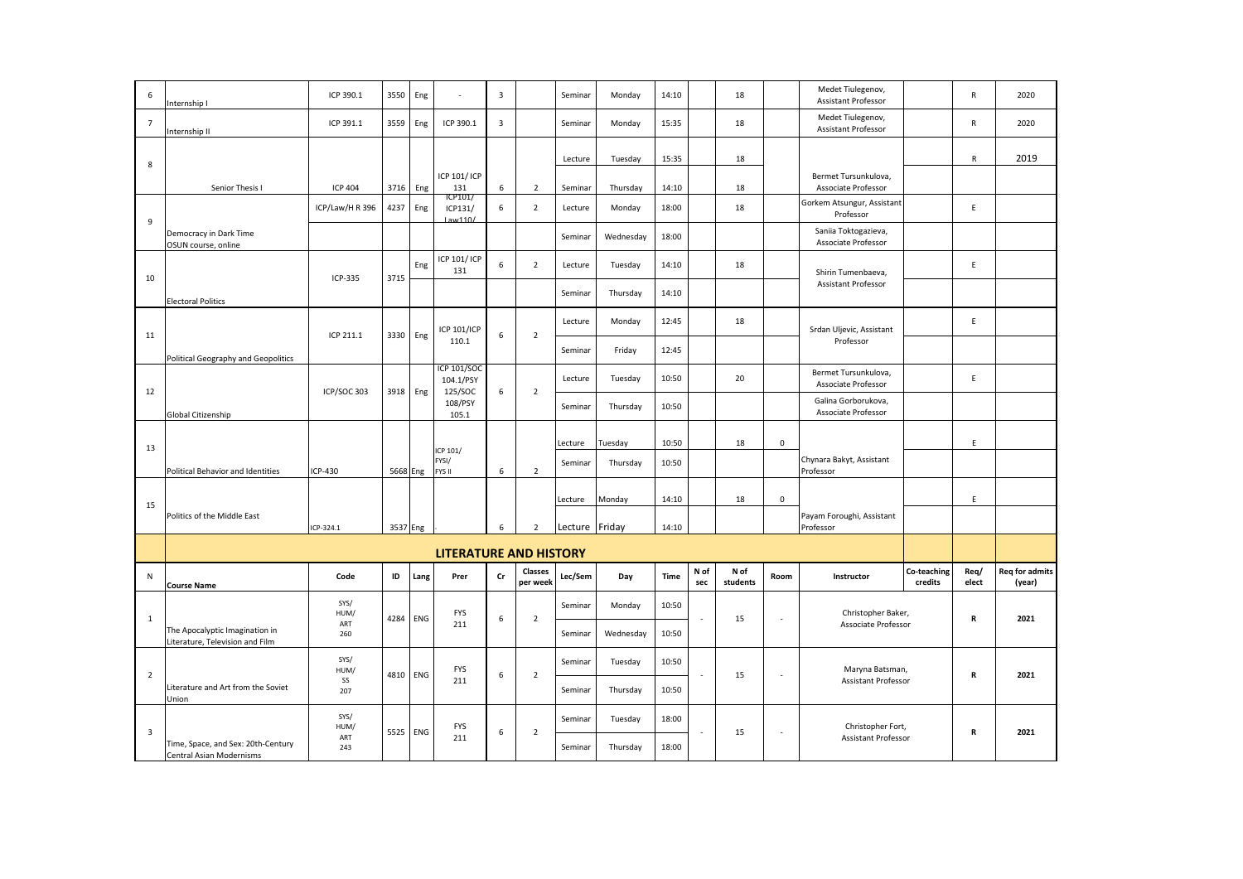| 6                       | nternship I                                                       | ICP 390.1       | 3550     | Eng  |                                            | $\overline{\mathbf{3}}$ |                            | Seminar        | Monday    | 14:10       |             | 18               |             | Medet Tiulegenov,<br><b>Assistant Professor</b> |                        | $\mathsf{R}$  | 2020                            |
|-------------------------|-------------------------------------------------------------------|-----------------|----------|------|--------------------------------------------|-------------------------|----------------------------|----------------|-----------|-------------|-------------|------------------|-------------|-------------------------------------------------|------------------------|---------------|---------------------------------|
| $\overline{7}$          | nternship II                                                      | ICP 391.1       | 3559     | Eng  | ICP 390.1                                  | $\overline{\mathbf{3}}$ |                            | Seminar        | Monday    | 15:35       |             | 18               |             | Medet Tiulegenov,<br><b>Assistant Professor</b> |                        | ${\sf R}$     | 2020                            |
|                         |                                                                   |                 |          |      |                                            |                         |                            | Lecture        | Tuesday   | 15:35       |             | 18               |             |                                                 |                        | $\mathsf{R}$  | 2019                            |
| 8                       | Senior Thesis I                                                   | <b>ICP 404</b>  | 3716     | Eng  | ICP 101/ ICP<br>131                        | 6                       | $\overline{2}$             | Seminar        | Thursday  | 14:10       |             | 18               |             | Bermet Tursunkulova,<br>Associate Professor     |                        |               |                                 |
|                         |                                                                   | ICP/Law/H R 396 | 4237     | Eng  | ICP101/<br>ICP131/                         | 6                       | $\overline{2}$             | Lecture        | Monday    | 18:00       |             | 18               |             | Gorkem Atsungur, Assistant<br>Professor         |                        | E             |                                 |
| 9                       | Democracy in Dark Time<br>OSUN course, online                     |                 |          |      | Law110/                                    |                         |                            | Seminar        | Wednesday | 18:00       |             |                  |             | Saniia Toktogazieva,<br>Associate Professor     |                        |               |                                 |
|                         |                                                                   |                 |          | Eng  | ICP 101/ ICP<br>131                        | 6                       | $\overline{2}$             | Lecture        | Tuesday   | 14:10       |             | 18               |             | Shirin Tumenbaeva,                              |                        | E.            |                                 |
| 10                      | <b>Electoral Politics</b>                                         | ICP-335         | 3715     |      |                                            |                         |                            | Seminar        | Thursday  | 14:10       |             |                  |             | Assistant Professor                             |                        |               |                                 |
|                         |                                                                   |                 |          |      | <b>ICP 101/ICP</b>                         |                         |                            | Lecture        | Monday    | 12:45       |             | 18               |             | Srdan Uljevic, Assistant                        |                        | E             |                                 |
| 11                      | Political Geography and Geopolitics                               | ICP 211.1       | 3330     | Eng  | 110.1                                      | 6                       | $\overline{2}$             | Seminar        | Friday    | 12:45       |             |                  |             | Professor                                       |                        |               |                                 |
| 12                      |                                                                   | ICP/SOC 303     | 3918     | Eng  | <b>ICP 101/SOC</b><br>104.1/PSY<br>125/SOC | 6                       | $\overline{2}$             | Lecture        | Tuesday   | 10:50       |             | 20               |             | Bermet Tursunkulova,<br>Associate Professor     |                        | E             |                                 |
|                         | Global Citizenship                                                |                 |          |      | 108/PSY<br>105.1                           |                         |                            | Seminar        | Thursday  | 10:50       |             |                  |             | Galina Gorborukova,<br>Associate Professor      |                        |               |                                 |
| 13                      |                                                                   |                 |          |      |                                            |                         |                            | Lecture        | Tuesday   | 10:50       |             | 18               | $\mathsf 0$ |                                                 |                        | $\mathsf E$   |                                 |
|                         | Political Behavior and Identities                                 | ICP-430         | 5668 Eng |      | ICP 101/<br>FYSI/<br>FYS II                | 6                       | $\overline{2}$             | Seminar        | Thursday  | 10:50       |             |                  |             | Chynara Bakyt, Assistant<br>Professor           |                        |               |                                 |
| 15                      |                                                                   |                 |          |      |                                            |                         |                            | Lecture        | Monday    | 14:10       |             | 18               | $\mathbf 0$ |                                                 |                        | E             |                                 |
|                         | Politics of the Middle East                                       | ICP-324.1       | 3537 Eng |      |                                            | 6                       | $\overline{2}$             | Lecture Friday |           | 14:10       |             |                  |             | Payam Foroughi, Assistant<br>Professor          |                        |               |                                 |
|                         |                                                                   |                 |          |      | <b>LITERATURE AND HISTORY</b>              |                         |                            |                |           |             |             |                  |             |                                                 |                        |               |                                 |
| N                       | <b>Course Name</b>                                                | Code            | ID       | Lang | Prer                                       | Cr                      | <b>Classes</b><br>per week | Lec/Sem        | Day       | <b>Time</b> | N of<br>sec | N of<br>students | Room        | Instructor                                      | Co-teaching<br>credits | Req/<br>elect | <b>Req for admits</b><br>(year) |
|                         |                                                                   | SYS/<br>HUM/    |          |      | <b>FYS</b>                                 |                         |                            | Seminar        | Monday    | 10:50       |             |                  |             | Christopher Baker,                              |                        |               |                                 |
| $\mathbf{1}$            | The Apocalyptic Imagination in<br>Literature, Television and Film | ART<br>260      | 4284     | ENG  | 211                                        | 6                       | $\overline{2}$             | Seminar        | Wednesday | 10:50       |             | 15               |             | Associate Professor                             |                        | R             | 2021                            |
| $\overline{2}$          |                                                                   | SYS/<br>HUM/    | 4810     | ENG  | <b>FYS</b>                                 | 6                       | $\overline{2}$             | Seminar        | Tuesday   | 10:50       |             | 15               |             | Maryna Batsman,                                 |                        | R             | 2021                            |
|                         | Literature and Art from the Soviet<br>Union                       | SS<br>207       |          |      | 211                                        |                         |                            | Seminar        | Thursday  | 10:50       |             |                  |             | <b>Assistant Professor</b>                      |                        |               |                                 |
| $\overline{\mathbf{3}}$ |                                                                   | SYS/<br>HUM/    | 5525     | ENG  | <b>FYS</b>                                 | $\boldsymbol{6}$        | $\overline{2}$             | Seminar        | Tuesday   | 18:00       |             | 15               | $\sim$      | Christopher Fort,                               |                        | R             | 2021                            |
|                         | Time, Space, and Sex: 20th-Century<br>Central Asian Modernisms    | ART<br>243      |          |      | 211                                        |                         |                            | Seminar        | Thursday  | 18:00       |             |                  |             | Assistant Professor                             |                        |               |                                 |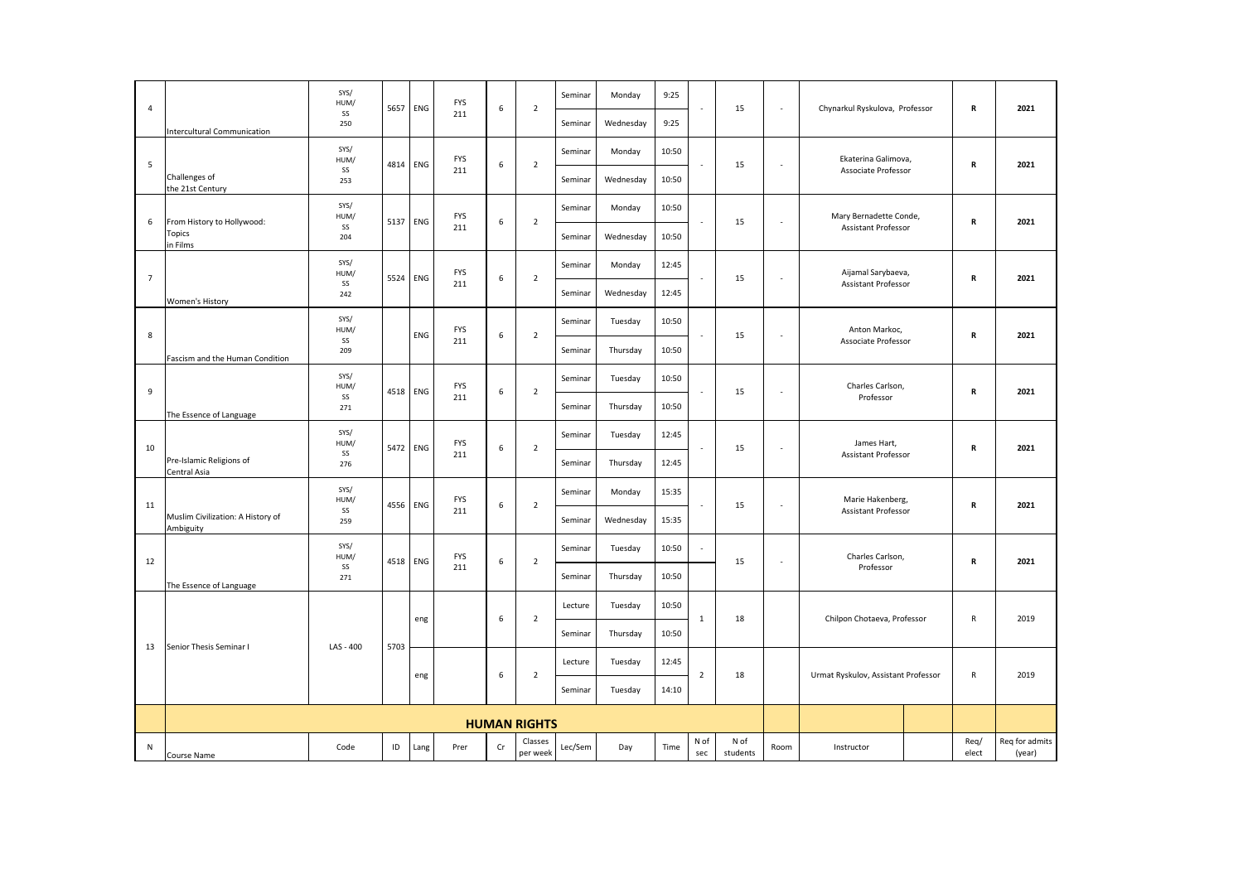| 4              |                                                  | SYS/<br>HUM/<br>SS | 5657 | ENG      | <b>FYS</b> | 6  | $\overline{2}$      | Seminar | Monday    | 9:25  |                | 15               | $\sim$                   | Chynarkul Ryskulova, Professor      | R             | 2021                     |
|----------------|--------------------------------------------------|--------------------|------|----------|------------|----|---------------------|---------|-----------|-------|----------------|------------------|--------------------------|-------------------------------------|---------------|--------------------------|
|                | Intercultural Communication                      | 250                |      |          | 211        |    |                     | Seminar | Wednesday | 9:25  |                |                  |                          |                                     |               |                          |
| 5              |                                                  | SYS/<br>HUM/       | 4814 | ENG      | <b>FYS</b> |    | $\overline{2}$      | Seminar | Monday    | 10:50 |                |                  |                          | Ekaterina Galimova,                 |               | 2021                     |
|                | Challenges of<br>the 21st Century                | SS<br>253          |      |          | 211        | 6  |                     | Seminar | Wednesday | 10:50 |                | 15               | $\overline{\phantom{a}}$ | Associate Professor                 | R             |                          |
|                |                                                  | SYS/<br>HUM/       |      |          | <b>FYS</b> |    |                     | Seminar | Monday    | 10:50 |                |                  |                          | Mary Bernadette Conde,              |               |                          |
| 6              | From History to Hollywood:<br>Topics<br>in Films | SS<br>204          | 5137 | ENG      | 211        | 6  | $\overline{2}$      | Seminar | Wednesday | 10:50 |                | 15               | $\sim$                   | <b>Assistant Professor</b>          | R             | 2021                     |
|                |                                                  | SYS/<br>HUM/       |      |          | <b>FYS</b> |    |                     | Seminar | Monday    | 12:45 |                |                  |                          | Aijamal Sarybaeva,                  |               |                          |
| $\overline{7}$ | Women's History                                  | SS<br>242          | 5524 | ENG      | 211        | 6  | $\overline{2}$      | Seminar | Wednesday | 12:45 |                | 15               | $\overline{\phantom{a}}$ | <b>Assistant Professor</b>          | R             | 2021                     |
|                |                                                  | SYS/<br>HUM/       |      |          | <b>FYS</b> |    |                     | Seminar | Tuesday   | 10:50 |                |                  |                          | Anton Markoc,                       |               |                          |
| 8              | Fascism and the Human Condition                  | SS<br>209          |      | ENG      | 211        | 6  | $\overline{2}$      | Seminar | Thursday  | 10:50 |                | 15               | $\overline{\phantom{a}}$ | Associate Professor                 | R             | 2021                     |
| 9              |                                                  | SYS/<br>HUM/       |      | 4518 ENG | <b>FYS</b> | 6  |                     | Seminar | Tuesday   | 10:50 |                |                  |                          | Charles Carlson,                    |               | 2021                     |
|                | The Essence of Language                          | SS<br>271          |      |          | 211        |    | $\overline{2}$      | Seminar | Thursday  | 10:50 |                | 15               | $\sim$                   | Professor                           | R             |                          |
|                |                                                  | SYS/<br>HUM/       |      | 5472 ENG | <b>FYS</b> |    |                     | Seminar | Tuesday   | 12:45 |                |                  | ÷                        | James Hart,                         |               |                          |
| 10             | Pre-Islamic Religions of<br>Central Asia         | SS<br>276          |      |          | 211        | 6  | $\overline{2}$      | Seminar | Thursday  | 12:45 |                | 15               |                          | <b>Assistant Professor</b>          | R             | 2021                     |
| 11             |                                                  | SYS/<br>HUM/       | 4556 | ENG      | <b>FYS</b> | 6  | $\overline{2}$      | Seminar | Monday    | 15:35 |                | 15               | $\sim$                   | Marie Hakenberg,                    | R             | 2021                     |
|                | Muslim Civilization: A History of<br>Ambiguity   | SS<br>259          |      |          | 211        |    |                     | Seminar | Wednesday | 15:35 |                |                  |                          | <b>Assistant Professor</b>          |               |                          |
| 12             |                                                  | SYS/<br>HUM/       | 4518 | ENG      | <b>FYS</b> | 6  | $\overline{2}$      | Seminar | Tuesday   | 10:50 | $\sim$         | 15               | ×.                       | Charles Carlson,                    | R             | 2021                     |
|                | The Essence of Language                          | SS<br>271          |      |          | 211        |    |                     | Seminar | Thursday  | 10:50 |                |                  |                          | Professor                           |               |                          |
|                |                                                  |                    |      | eng      |            | 6  | $\overline{2}$      | Lecture | Tuesday   | 10:50 | $\mathbf{1}$   | 18               |                          | Chilpon Chotaeva, Professor         | $\mathsf{R}$  | 2019                     |
| 13             | Senior Thesis Seminar I                          | LAS - 400          | 5703 |          |            |    |                     | Seminar | Thursday  | 10:50 |                |                  |                          |                                     |               |                          |
|                |                                                  |                    |      | eng      |            | 6  | $\overline{2}$      | Lecture | Tuesday   | 12:45 | $\overline{2}$ | 18               |                          | Urmat Ryskulov, Assistant Professor | $\mathsf{R}$  | 2019                     |
|                |                                                  |                    |      |          |            |    |                     | Seminar | Tuesday   | 14:10 |                |                  |                          |                                     |               |                          |
|                |                                                  |                    |      |          |            |    | <b>HUMAN RIGHTS</b> |         |           |       |                |                  |                          |                                     |               |                          |
| ${\sf N}$      |                                                  | Code               | ID   | Lang     | Prer       | Cr | Classes<br>per week | Lec/Sem | Day       | Time  | N of<br>sec    | N of<br>students | Room                     | Instructor                          | Req/<br>elect | Req for admits<br>(year) |
|                | Course Name                                      |                    |      |          |            |    |                     |         |           |       |                |                  |                          |                                     |               |                          |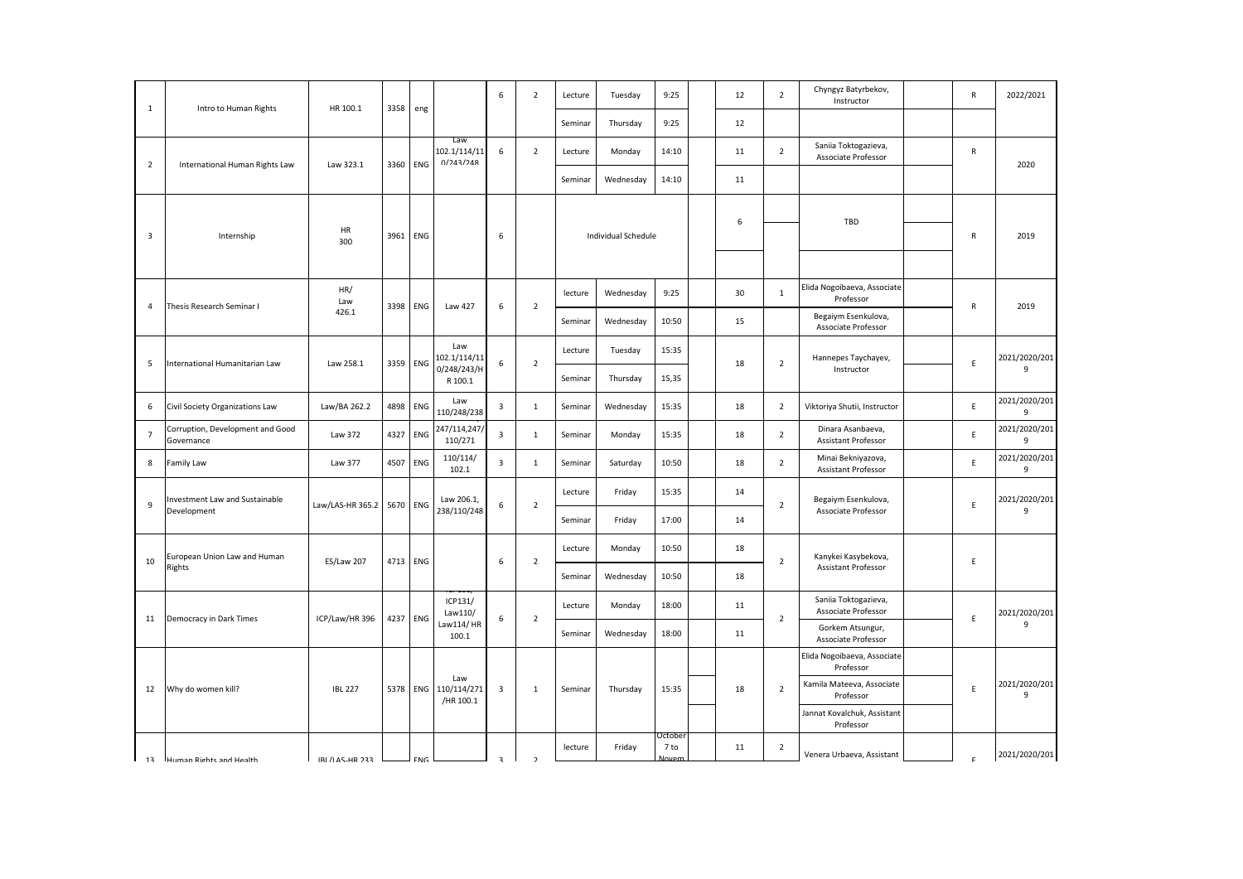| $\mathbf{1}$    | Intro to Human Rights                          | HR 100.1                  | 3358 | eng        |                                     | 6                       | $\overline{2}$ | Lecture | Tuesday             | 9:25                     | 12 | $\overline{2}$ | Chyngyz Batyrbekov,<br>Instructor                | R            | 2022/2021          |
|-----------------|------------------------------------------------|---------------------------|------|------------|-------------------------------------|-------------------------|----------------|---------|---------------------|--------------------------|----|----------------|--------------------------------------------------|--------------|--------------------|
|                 |                                                |                           |      |            |                                     |                         |                | Seminar | Thursday            | 9:25                     | 12 |                |                                                  |              |                    |
| $\overline{2}$  |                                                | Law 323.1                 | 3360 | ENG        | Law<br>102.1/114/11<br>0/243/248    | 6                       | $\overline{2}$ | Lecture | Monday              | 14:10                    | 11 | $\overline{2}$ | Saniia Toktogazieva,<br>Associate Professor      | ${\sf R}$    | 2020               |
|                 | International Human Rights Law                 |                           |      |            |                                     |                         |                | Seminar | Wednesday           | 14:10                    | 11 |                |                                                  |              |                    |
|                 |                                                |                           |      |            |                                     |                         |                |         |                     |                          | 6  |                | TBD                                              |              |                    |
| 3               | Internship                                     | HR<br>300                 | 3961 | ENG        |                                     | 6                       |                |         | Individual Schedule |                          |    |                |                                                  | R            | 2019               |
|                 |                                                |                           |      |            |                                     |                         |                |         |                     |                          |    |                |                                                  |              |                    |
| 4               | Thesis Research Seminar I                      | HR/<br>Law                | 3398 | ENG        | Law 427                             | 6                       | $\overline{2}$ | lecture | Wednesday           | 9:25                     | 30 | $\mathbf{1}$   | Elida Nogoibaeva, Associate<br>Professor         | $\mathsf{R}$ | 2019               |
|                 |                                                | 426.1                     |      |            |                                     |                         |                | Seminar | Wednesday           | 10:50                    | 15 |                | Begaiym Esenkulova,<br>Associate Professor       |              |                    |
| 5               | International Humanitarian Law                 | Law 258.1                 | 3359 | ENG        | Law<br>102.1/114/11                 | 6                       | $\overline{2}$ | Lecture | Tuesday             | 15:35                    | 18 | $\overline{2}$ | Hannepes Taychayev,                              | E            | 2021/2020/201      |
|                 |                                                |                           |      |            | 0/248/243/H<br>R 100.1              |                         |                | Seminar | Thursday            | 15,35                    |    |                | Instructor                                       |              | 9                  |
| 6               | Civil Society Organizations Law                | Law/BA 262.2              | 4898 | ENG        | Law<br>110/248/238                  | $\overline{\mathbf{3}}$ | 1              | Seminar | Wednesday           | 15:35                    | 18 | $\overline{2}$ | Viktoriya Shutii, Instructor                     | E            | 2021/2020/201<br>9 |
| $\overline{7}$  | Corruption, Development and Good<br>Governance | Law 372                   | 4327 | ENG        | 247/114,247,<br>110/271             | $\overline{\mathbf{3}}$ | 1              | Seminar | Monday              | 15:35                    | 18 | $\overline{2}$ | Dinara Asanbaeva,<br>Assistant Professor         | E            | 2021/2020/201<br>9 |
| 8               | Family Law                                     | Law 377                   | 4507 | ENG        | 110/114/<br>102.1                   | $\mathbf{3}$            | 1              | Seminar | Saturday            | 10:50                    | 18 | $\overline{2}$ | Minai Bekniyazova,<br><b>Assistant Professor</b> | $\mathsf E$  | 2021/2020/201<br>9 |
| 9               | nvestment Law and Sustainable                  | Law/LAS-HR 365.2 5670 ENG |      |            | Law 206.1,                          | 6                       | $\overline{2}$ | Lecture | Friday              | 15:35                    | 14 | $\mathbf 2$    | Begaiym Esenkulova,                              | $\mathsf E$  | 2021/2020/201      |
|                 | Development                                    |                           |      |            | 238/110/248                         |                         |                | Seminar | Friday              | 17:00                    | 14 |                | Associate Professor                              |              | 9                  |
| 10              | European Union Law and Human                   | <b>ES/Law 207</b>         | 4713 | <b>ENG</b> |                                     | 6                       | $\overline{2}$ | Lecture | Monday              | 10:50                    | 18 | $\overline{2}$ | Kanykei Kasybekova,                              | E            |                    |
|                 | Rights                                         |                           |      |            |                                     |                         |                | Seminar | Wednesday           | 10:50                    | 18 |                | Assistant Professor                              |              |                    |
| 11              | Democracy in Dark Times                        | ICP/Law/HR 396            |      | 4237 ENG   | ICP131/<br>Law110/                  | 6                       | $\overline{2}$ | Lecture | Monday              | 18:00                    | 11 | $\overline{2}$ | Saniia Toktogazieva,<br>Associate Professor      | E            | 2021/2020/201      |
|                 |                                                |                           |      |            | Law114/HR<br>100.1                  |                         |                | Seminar | Wednesday           | 18:00                    | 11 |                | Gorkem Atsungur,<br>Associate Professor          |              | 9                  |
|                 |                                                |                           |      |            |                                     |                         |                |         |                     |                          |    |                | Elida Nogoibaeva, Associate<br>Professor         |              |                    |
| 12              | Why do women kill?                             | <b>IBL 227</b>            | 5378 |            | Law<br>ENG 110/114/271<br>/HR 100.1 | 3                       | $\mathbf{1}$   | Seminar | Thursday            | 15:35                    | 18 | $\overline{2}$ | Kamila Mateeva, Associate<br>Professor           | $\mathsf E$  | 2021/2020/201<br>9 |
|                 |                                                |                           |      |            |                                     |                         |                |         |                     |                          |    |                | Jannat Kovalchuk, Assistant<br>Professor         |              |                    |
| $\mathbf{I}$ 13 | Human Rights and Health                        | IRI /I AS-HR 233          |      | <b>FNG</b> |                                     | $\overline{z}$          | $\overline{2}$ | lecture | Friday              | Octobei<br>7 to<br>Joven | 11 | $\overline{2}$ | Venera Urbaeva, Assistant                        | $\mathsf{F}$ | 2021/2020/201      |
|                 |                                                |                           |      |            |                                     |                         |                |         |                     |                          |    |                |                                                  |              |                    |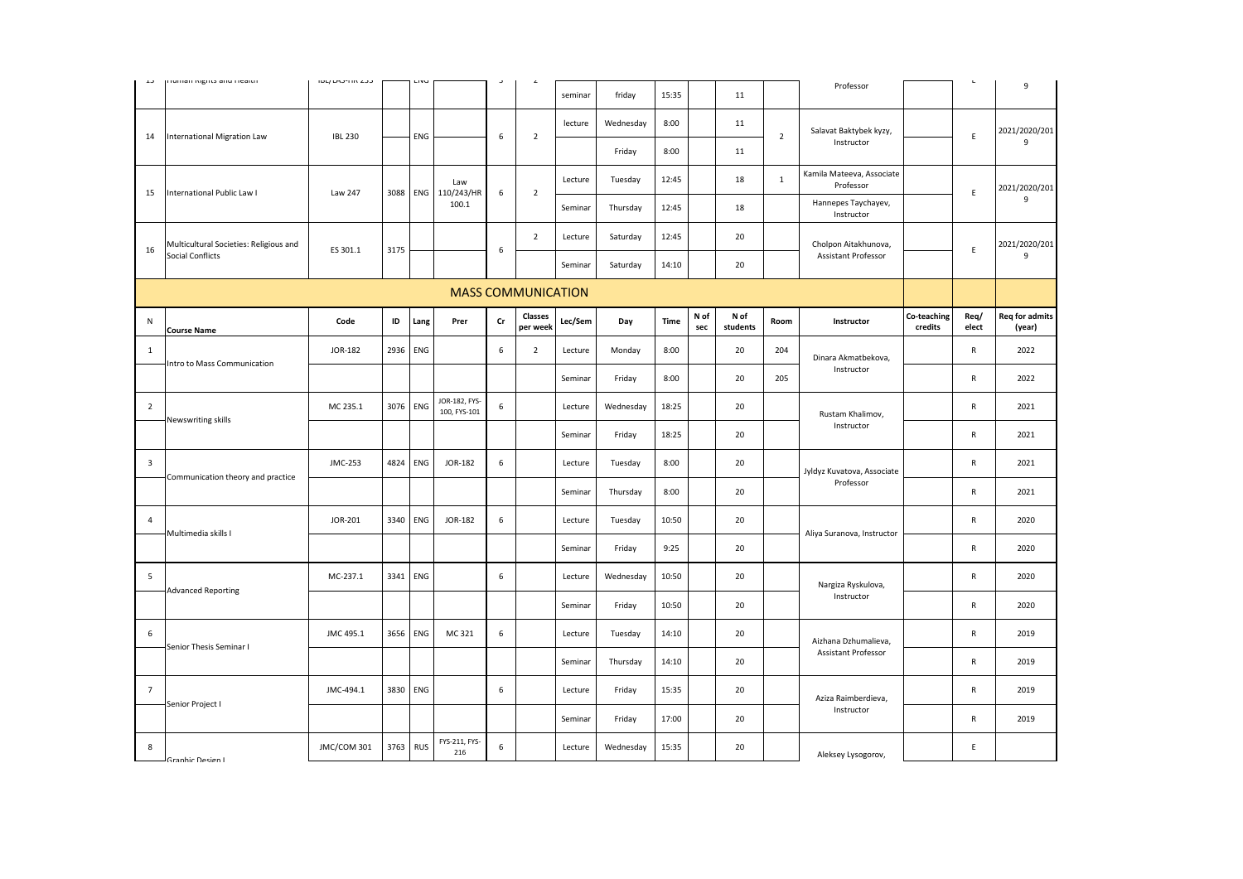| ن د                     | numan nigno anu ncaith                 | ככם חוורכתיו ניטו |      |            |                               |    | $\epsilon$                |         |           |       |             |                  |                |                                        |                        | $\mathbf{L}$  |                                 |
|-------------------------|----------------------------------------|-------------------|------|------------|-------------------------------|----|---------------------------|---------|-----------|-------|-------------|------------------|----------------|----------------------------------------|------------------------|---------------|---------------------------------|
|                         |                                        |                   |      |            |                               |    |                           | seminar | friday    | 15:35 |             | 11               |                | Professor                              |                        |               | 9                               |
| 14                      | <b>International Migration Law</b>     | <b>IBL 230</b>    |      | ENG        |                               | 6  | $\overline{2}$            | lecture | Wednesday | 8:00  |             | 11               | $\overline{2}$ | Salavat Baktybek kyzy,                 |                        | $\mathsf E$   | 2021/2020/201                   |
|                         |                                        |                   |      |            |                               |    |                           |         | Friday    | 8:00  |             | 11               |                | Instructor                             |                        |               | 9                               |
|                         |                                        |                   |      |            | Law                           |    |                           | Lecture | Tuesday   | 12:45 |             | 18               | $\mathbf{1}$   | Kamila Mateeva, Associate<br>Professor |                        |               | 2021/2020/201                   |
| 15                      | International Public Law I             | Law 247           | 3088 |            | ENG 110/243/HR<br>100.1       | 6  | $\overline{2}$            | Seminar | Thursday  | 12:45 |             | 18               |                | Hannepes Taychayev,<br>Instructor      |                        | E             | 9                               |
|                         | Multicultural Societies: Religious and |                   |      |            |                               |    | $\overline{2}$            | Lecture | Saturday  | 12:45 |             | 20               |                | Cholpon Aitakhunova,                   |                        |               | 2021/2020/201                   |
| 16                      | Social Conflicts                       | ES 301.1          | 3175 |            |                               | 6  |                           | Seminar | Saturday  | 14:10 |             | 20               |                | Assistant Professor                    |                        | E             | 9                               |
|                         |                                        |                   |      |            |                               |    | <b>MASS COMMUNICATION</b> |         |           |       |             |                  |                |                                        |                        |               |                                 |
| N                       | <b>Course Name</b>                     | Code              | ID   | Lang       | Prer                          | Cr | Classes<br>per week       | Lec/Sem | Day       | Time  | N of<br>sec | N of<br>students | Room           | Instructor                             | Co-teaching<br>credits | Req/<br>elect | <b>Req for admits</b><br>(year) |
| 1                       | Intro to Mass Communication            | JOR-182           | 2936 | ENG        |                               | 6  | $\overline{2}$            | Lecture | Monday    | 8:00  |             | 20               | 204            | Dinara Akmatbekova,                    |                        | $\mathsf{R}$  | 2022                            |
|                         |                                        |                   |      |            |                               |    |                           | Seminar | Friday    | 8:00  |             | 20               | 205            | Instructor                             |                        | $\mathsf{R}$  | 2022                            |
| $\overline{2}$          |                                        | MC 235.1          | 3076 | ENG        | JOR-182, FYS-<br>100, FYS-101 | 6  |                           | Lecture | Wednesday | 18:25 |             | 20               |                | Rustam Khalimov,                       |                        | $\mathsf{R}$  | 2021                            |
|                         | Newswriting skills                     |                   |      |            |                               |    |                           | Seminar | Friday    | 18:25 |             | 20               |                | Instructor                             |                        | $\mathsf{R}$  | 2021                            |
| $\overline{\mathbf{3}}$ | Communication theory and practice      | JMC-253           | 4824 | ENG        | JOR-182                       | 6  |                           | Lecture | Tuesday   | 8:00  |             | 20               |                | Jyldyz Kuvatova, Associate             |                        | $\mathsf{R}$  | 2021                            |
|                         |                                        |                   |      |            |                               |    |                           | Seminar | Thursday  | 8:00  |             | 20               |                | Professor                              |                        | $\mathsf{R}$  | 2021                            |
| $\overline{4}$          | Multimedia skills I                    | JOR-201           | 3340 | ENG        | JOR-182                       | 6  |                           | Lecture | Tuesday   | 10:50 |             | 20               |                |                                        |                        | ${\sf R}$     | 2020                            |
|                         |                                        |                   |      |            |                               |    |                           | Seminar | Friday    | 9:25  |             | 20               |                | Aliya Suranova, Instructor             |                        | $\mathsf{R}$  | 2020                            |
| 5                       |                                        | MC-237.1          | 3341 | ENG        |                               | 6  |                           | Lecture | Wednesday | 10:50 |             | 20               |                | Nargiza Ryskulova,                     |                        | $\mathsf{R}$  | 2020                            |
|                         | <b>Advanced Reporting</b>              |                   |      |            |                               |    |                           | Seminar | Friday    | 10:50 |             | 20               |                | Instructor                             |                        | ${\sf R}$     | 2020                            |
| 6                       |                                        | JMC 495.1         | 3656 | ENG        | MC 321                        | 6  |                           | Lecture | Tuesday   | 14:10 |             | 20               |                | Aizhana Dzhumalieva,                   |                        | $\mathsf{R}$  | 2019                            |
|                         | Senior Thesis Seminar I                |                   |      |            |                               |    |                           | Seminar | Thursday  | 14:10 |             | 20               |                | Assistant Professor                    |                        | $\mathsf{R}$  | 2019                            |
| $\overline{7}$          |                                        | JMC-494.1         | 3830 | ENG        |                               | 6  |                           | Lecture | Friday    | 15:35 |             | 20               |                | Aziza Raimberdieva,                    |                        | ${\sf R}$     | 2019                            |
|                         | Senior Project I                       |                   |      |            |                               |    |                           | Seminar | Friday    | 17:00 |             | 20               |                | Instructor                             |                        | $\mathsf{R}$  | 2019                            |
| 8                       | Granhic Decion I                       | JMC/COM 301       | 3763 | <b>RUS</b> | FYS-211, FYS-<br>216          | 6  |                           | Lecture | Wednesday | 15:35 |             | 20               |                | Aleksey Lysogorov,                     |                        | E             |                                 |
|                         |                                        |                   |      |            |                               |    |                           |         |           |       |             |                  |                |                                        |                        |               |                                 |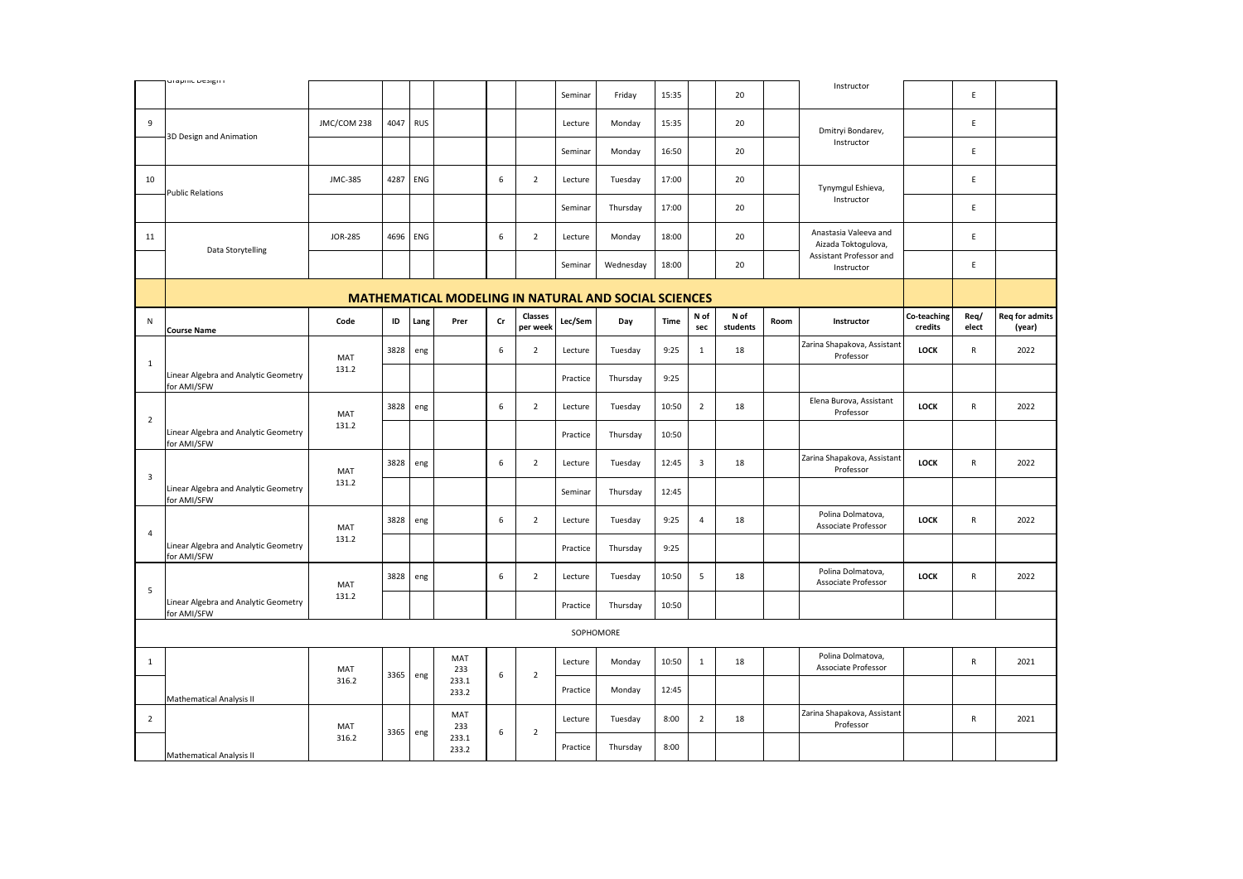|                         | uraprino prosigir i                                 |                |      |            |                |    |                     |          |                                                             |       |                |                  |      |                                              |                        |               |                                 |
|-------------------------|-----------------------------------------------------|----------------|------|------------|----------------|----|---------------------|----------|-------------------------------------------------------------|-------|----------------|------------------|------|----------------------------------------------|------------------------|---------------|---------------------------------|
|                         |                                                     |                |      |            |                |    |                     | Seminar  | Friday                                                      | 15:35 |                | 20               |      | Instructor                                   |                        | E             |                                 |
| 9                       | 3D Design and Animation                             | JMC/COM 238    | 4047 | <b>RUS</b> |                |    |                     | Lecture  | Monday                                                      | 15:35 |                | 20               |      | Dmitryi Bondarev,                            |                        | E             |                                 |
|                         |                                                     |                |      |            |                |    |                     | Seminar  | Monday                                                      | 16:50 |                | 20               |      | Instructor                                   |                        | E             |                                 |
| 10                      |                                                     | JMC-385        | 4287 | ENG        |                | 6  | $\overline{2}$      | Lecture  | Tuesday                                                     | 17:00 |                | 20               |      | Tynymgul Eshieva,                            |                        | E             |                                 |
|                         | <b>Public Relations</b>                             |                |      |            |                |    |                     | Seminar  | Thursday                                                    | 17:00 |                | 20               |      | Instructor                                   |                        | E             |                                 |
| 11                      |                                                     | <b>JOR-285</b> | 4696 | ENG        |                | 6  | $\overline{2}$      | Lecture  | Monday                                                      | 18:00 |                | 20               |      | Anastasia Valeeva and<br>Aizada Toktogulova, |                        | $\mathsf E$   |                                 |
|                         | Data Storytelling                                   |                |      |            |                |    |                     | Seminar  | Wednesday                                                   | 18:00 |                | 20               |      | Assistant Professor and<br>Instructor        |                        | E             |                                 |
|                         |                                                     |                |      |            |                |    |                     |          | <b>MATHEMATICAL MODELING IN NATURAL AND SOCIAL SCIENCES</b> |       |                |                  |      |                                              |                        |               |                                 |
| N                       | <b>Course Name</b>                                  | Code           | ID   | Lang       | Prer           | Cr | Classes<br>per week | Lec/Sem  | Day                                                         | Time  | N of<br>sec    | N of<br>students | Room | Instructor                                   | Co-teaching<br>credits | Req/<br>elect | <b>Req for admits</b><br>(year) |
| $\mathbf{1}$            |                                                     | MAT            | 3828 | eng        |                | 6  | $\overline{2}$      | Lecture  | Tuesday                                                     | 9:25  | $\mathbf{1}$   | 18               |      | Zarina Shapakova, Assistant<br>Professor     | LOCK                   | ${\sf R}$     | 2022                            |
|                         | Linear Algebra and Analytic Geometry<br>for AMI/SFW | 131.2          |      |            |                |    |                     | Practice | Thursday                                                    | 9:25  |                |                  |      |                                              |                        |               |                                 |
|                         |                                                     | MAT            | 3828 | eng        |                | 6  | $\overline{2}$      | Lecture  | Tuesday                                                     | 10:50 | $\overline{2}$ | 18               |      | Elena Burova, Assistant<br>Professor         | <b>LOCK</b>            | R             | 2022                            |
| $\overline{2}$          | Linear Algebra and Analytic Geometry<br>for AMI/SFW | 131.2          |      |            |                |    |                     | Practice | Thursday                                                    | 10:50 |                |                  |      |                                              |                        |               |                                 |
| $\overline{\mathbf{3}}$ |                                                     | MAT            | 3828 | eng        |                | 6  | $\overline{2}$      | Lecture  | Tuesday                                                     | 12:45 | $\mathbf{3}$   | 18               |      | Zarina Shapakova, Assistant<br>Professor     | <b>LOCK</b>            | ${\sf R}$     | 2022                            |
|                         | Linear Algebra and Analytic Geometry<br>for AMI/SFW | 131.2          |      |            |                |    |                     | Seminar  | Thursday                                                    | 12:45 |                |                  |      |                                              |                        |               |                                 |
| $\overline{4}$          |                                                     | MAT            | 3828 | eng        |                | 6  | $\overline{2}$      | Lecture  | Tuesday                                                     | 9:25  | $\overline{4}$ | 18               |      | Polina Dolmatova,<br>Associate Professor     | LOCK                   | ${\sf R}$     | 2022                            |
|                         | Linear Algebra and Analytic Geometry<br>for AMI/SFW | 131.2          |      |            |                |    |                     | Practice | Thursday                                                    | 9:25  |                |                  |      |                                              |                        |               |                                 |
| 5                       |                                                     | MAT            | 3828 | eng        |                | 6  | $\overline{2}$      | Lecture  | Tuesday                                                     | 10:50 | 5              | 18               |      | Polina Dolmatova,<br>Associate Professor     | <b>LOCK</b>            | $\mathsf{R}$  | 2022                            |
|                         | Linear Algebra and Analytic Geometry<br>for AMI/SFW | 131.2          |      |            |                |    |                     | Practice | Thursday                                                    | 10:50 |                |                  |      |                                              |                        |               |                                 |
|                         |                                                     |                |      |            |                |    |                     |          | SOPHOMORE                                                   |       |                |                  |      |                                              |                        |               |                                 |
| 1                       |                                                     | MAT            | 3365 | eng        | MAT<br>233     | 6  | $\overline{2}$      | Lecture  | Monday                                                      | 10:50 | $\mathbf 1$    | 18               |      | Polina Dolmatova,<br>Associate Professor     |                        | ${\sf R}$     | 2021                            |
|                         | Mathematical Analysis II                            | 316.2          |      |            | 233.1<br>233.2 |    |                     | Practice | Monday                                                      | 12:45 |                |                  |      |                                              |                        |               |                                 |
| $\overline{2}$          |                                                     | MAT            | 3365 | eng        | MAT<br>233     | 6  | $\overline{2}$      | Lecture  | Tuesday                                                     | 8:00  | $\overline{2}$ | 18               |      | Zarina Shapakova, Assistant<br>Professor     |                        | R             | 2021                            |
|                         | Mathematical Analysis II                            | 316.2          |      |            | 233.1<br>233.2 |    |                     | Practice | Thursday                                                    | 8:00  |                |                  |      |                                              |                        |               |                                 |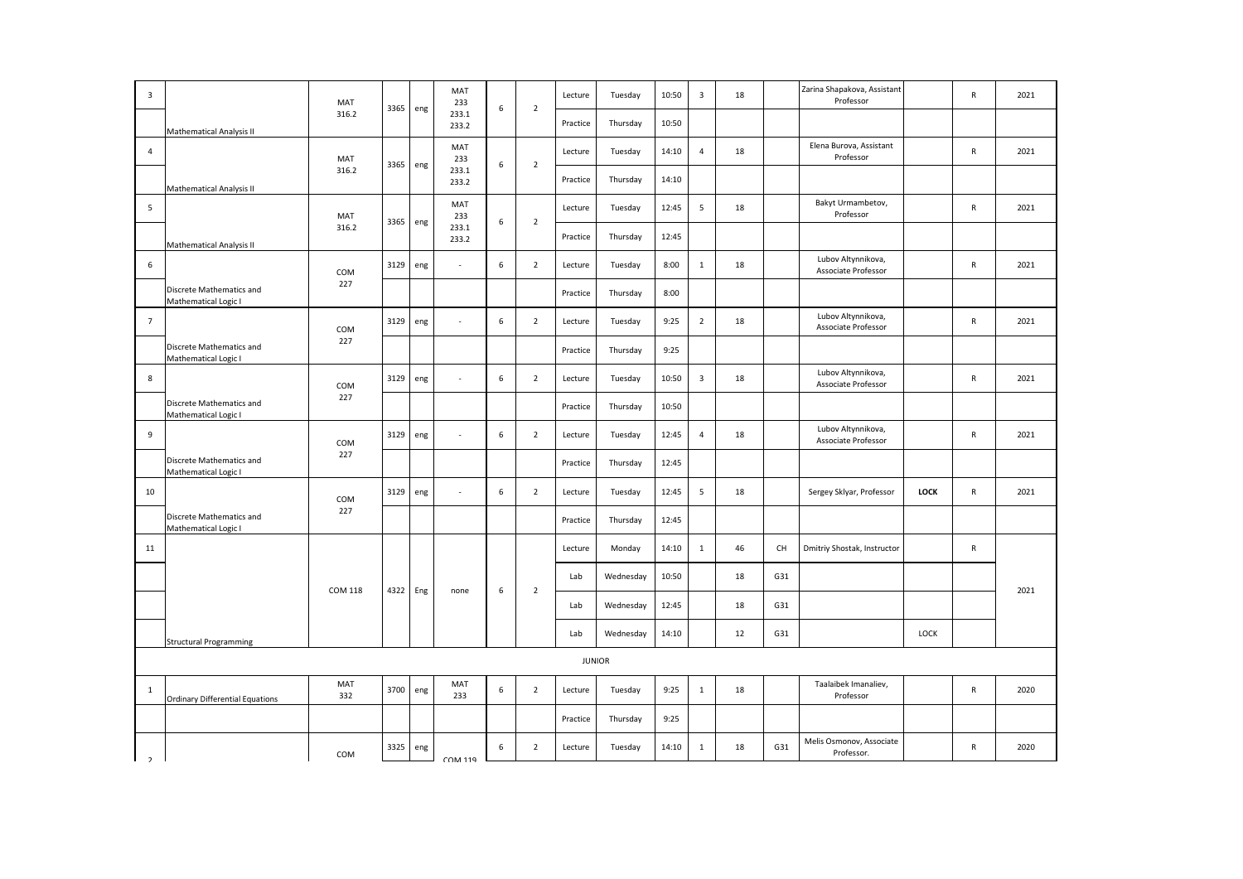| $\overline{\mathbf{3}}$ |                                                  | MAT        |      |     | MAT<br>233     |                  | $\overline{2}$ | Lecture  | Tuesday       | 10:50 | $\overline{\mathbf{3}}$ | 18 |     | Zarina Shapakova, Assistant<br>Professor  |             | $\mathsf{R}$ | 2021 |
|-------------------------|--------------------------------------------------|------------|------|-----|----------------|------------------|----------------|----------|---------------|-------|-------------------------|----|-----|-------------------------------------------|-------------|--------------|------|
|                         | Mathematical Analysis II                         | 316.2      | 3365 | eng | 233.1<br>233.2 | 6                |                | Practice | Thursday      | 10:50 |                         |    |     |                                           |             |              |      |
| 4                       |                                                  | MAT        |      |     | MAT<br>233     |                  |                | Lecture  | Tuesday       | 14:10 | $\overline{4}$          | 18 |     | Elena Burova, Assistant<br>Professor      |             | ${\sf R}$    | 2021 |
|                         | Mathematical Analysis II                         | 316.2      | 3365 | eng | 233.1<br>233.2 | $\,6\,$          | $\overline{2}$ | Practice | Thursday      | 14:10 |                         |    |     |                                           |             |              |      |
| 5                       |                                                  | MAT        |      |     | MAT<br>233     |                  |                | Lecture  | Tuesday       | 12:45 | 5                       | 18 |     | Bakyt Urmambetov,<br>Professor            |             | ${\sf R}$    | 2021 |
|                         | Mathematical Analysis II                         | 316.2      | 3365 | eng | 233.1<br>233.2 | $\boldsymbol{6}$ | $\overline{2}$ | Practice | Thursday      | 12:45 |                         |    |     |                                           |             |              |      |
| 6                       |                                                  | COM        | 3129 | eng | ×              | 6                | $\overline{2}$ | Lecture  | Tuesday       | 8:00  | $\mathbf{1}$            | 18 |     | Lubov Altynnikova,<br>Associate Professor |             | $\mathsf{R}$ | 2021 |
|                         | Discrete Mathematics and<br>Mathematical Logic I | 227        |      |     |                |                  |                | Practice | Thursday      | 8:00  |                         |    |     |                                           |             |              |      |
| $\overline{7}$          |                                                  | COM        | 3129 | eng | $\sim$         | 6                | $\overline{2}$ | Lecture  | Tuesday       | 9:25  | $\overline{2}$          | 18 |     | Lubov Altynnikova,<br>Associate Professor |             | $\mathsf{R}$ | 2021 |
|                         | Discrete Mathematics and<br>Mathematical Logic I | 227        |      |     |                |                  |                | Practice | Thursday      | 9:25  |                         |    |     |                                           |             |              |      |
| 8                       |                                                  | COM        | 3129 | eng | ×              | 6                | $\overline{2}$ | Lecture  | Tuesday       | 10:50 | $\overline{\mathbf{3}}$ | 18 |     | Lubov Altynnikova,<br>Associate Professor |             | ${\sf R}$    | 2021 |
|                         | Discrete Mathematics and<br>Mathematical Logic I | 227        |      |     |                |                  |                | Practice | Thursday      | 10:50 |                         |    |     |                                           |             |              |      |
| 9                       |                                                  | COM        | 3129 | eng |                | 6                | $\overline{2}$ | Lecture  | Tuesday       | 12:45 | $\overline{4}$          | 18 |     | Lubov Altynnikova,<br>Associate Professor |             | ${\sf R}$    | 2021 |
|                         | Discrete Mathematics and<br>Mathematical Logic I | 227        |      |     |                |                  |                | Practice | Thursday      | 12:45 |                         |    |     |                                           |             |              |      |
| 10                      |                                                  | COM        | 3129 | eng |                | 6                | $\overline{2}$ | Lecture  | Tuesday       | 12:45 | 5                       | 18 |     | Sergey Sklyar, Professor                  | <b>LOCK</b> | $\mathsf{R}$ | 2021 |
|                         | Discrete Mathematics and<br>Mathematical Logic I | 227        |      |     |                |                  |                | Practice | Thursday      | 12:45 |                         |    |     |                                           |             |              |      |
| 11                      |                                                  |            |      |     |                |                  |                | Lecture  | Monday        | 14:10 | $\mathbf{1}$            | 46 | CH  | Dmitriy Shostak, Instructor               |             | ${\sf R}$    |      |
|                         |                                                  | COM 118    | 4322 | Eng | none           | 6                | $\overline{2}$ | Lab      | Wednesday     | 10:50 |                         | 18 | G31 |                                           |             |              | 2021 |
|                         |                                                  |            |      |     |                |                  |                | Lab      | Wednesday     | 12:45 |                         | 18 | G31 |                                           |             |              |      |
|                         | <b>Structural Programming</b>                    |            |      |     |                |                  |                | Lab      | Wednesday     | 14:10 |                         | 12 | G31 |                                           | LOCK        |              |      |
|                         |                                                  |            |      |     |                |                  |                |          | <b>JUNIOR</b> |       |                         |    |     |                                           |             |              |      |
| $\mathbf{1}$            | <b>Ordinary Differential Equations</b>           | MAT<br>332 | 3700 | eng | MAT<br>233     | 6                | $\overline{2}$ | Lecture  | Tuesday       | 9:25  | $\mathbf{1}$            | 18 |     | Taalaibek Imanaliev,<br>Professor         |             | ${\sf R}$    | 2020 |
|                         |                                                  |            |      |     |                |                  |                | Practice | Thursday      | 9:25  |                         |    |     |                                           |             |              |      |
| $\overline{2}$          |                                                  | COM        | 3325 | eng | <b>COM 119</b> | 6                | $\overline{2}$ | Lecture  | Tuesday       | 14:10 | $\mathbf{1}$            | 18 | G31 | Melis Osmonov, Associate<br>Professor.    |             | ${\sf R}$    | 2020 |
|                         |                                                  |            |      |     |                |                  |                |          |               |       |                         |    |     |                                           |             |              |      |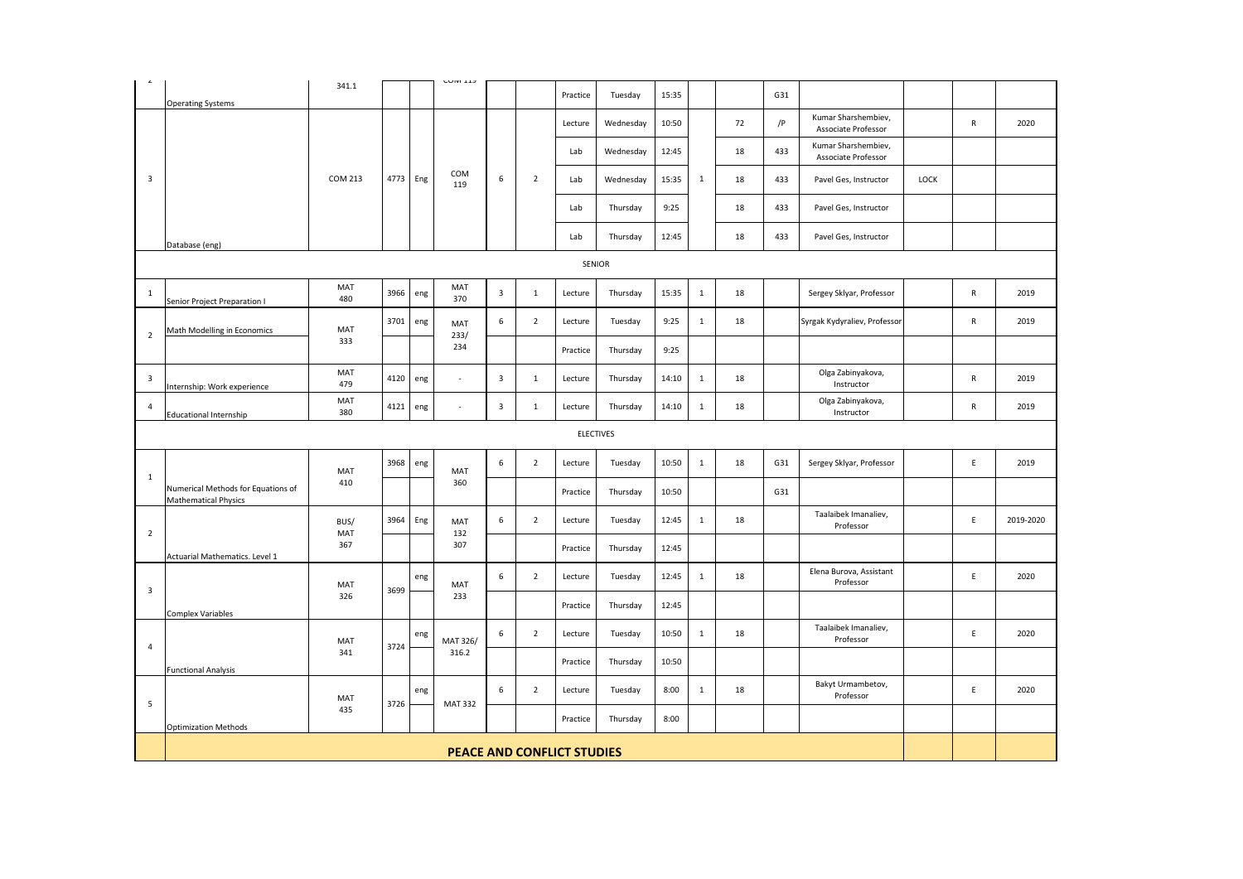| $\hat{\phantom{a}}$     | <b>Operating Systems</b>                                   | 341.1          |      |          | <b>UUIVI 11J</b> |                  |                | Practice                          | Tuesday          | 15:35 |              |    | G31 |                                            |      |              |           |
|-------------------------|------------------------------------------------------------|----------------|------|----------|------------------|------------------|----------------|-----------------------------------|------------------|-------|--------------|----|-----|--------------------------------------------|------|--------------|-----------|
|                         |                                                            |                |      |          |                  |                  |                | Lecture                           | Wednesday        | 10:50 |              | 72 | /P  | Kumar Sharshembiev,<br>Associate Professor |      | $\mathsf{R}$ | 2020      |
|                         |                                                            |                |      |          |                  |                  |                | Lab                               | Wednesday        | 12:45 |              | 18 | 433 | Kumar Sharshembiev,<br>Associate Professor |      |              |           |
| $\overline{\mathbf{3}}$ |                                                            | <b>COM 213</b> |      | 4773 Eng | COM<br>119       | $\,6\,$          | $\overline{2}$ | Lab                               | Wednesday        | 15:35 | $\mathbf{1}$ | 18 | 433 | Pavel Ges, Instructor                      | LOCK |              |           |
|                         |                                                            |                |      |          |                  |                  |                | Lab                               | Thursday         | 9:25  |              | 18 | 433 | Pavel Ges, Instructor                      |      |              |           |
|                         | Database (eng)                                             |                |      |          |                  |                  |                | Lab                               | Thursday         | 12:45 |              | 18 | 433 | Pavel Ges, Instructor                      |      |              |           |
|                         |                                                            |                |      |          |                  |                  |                | SENIOR                            |                  |       |              |    |     |                                            |      |              |           |
| $\mathbf{1}$            | Senior Project Preparation I                               | MAT<br>480     | 3966 | eng      | MAT<br>370       | $\overline{3}$   | $\mathbf{1}$   | Lecture                           | Thursday         | 15:35 | $\mathbf{1}$ | 18 |     | Sergey Sklyar, Professor                   |      | $\mathsf{R}$ | 2019      |
| $\overline{2}$          | Math Modelling in Economics                                | MAT            | 3701 | eng      | MAT<br>233/      | 6                | $\overline{2}$ | Lecture                           | Tuesday          | 9:25  | $1\,$        | 18 |     | Syrgak Kydyraliev, Professor               |      | ${\sf R}$    | 2019      |
|                         |                                                            | 333            |      |          | 234              |                  |                | Practice                          | Thursday         | 9:25  |              |    |     |                                            |      |              |           |
| $\overline{\mathbf{3}}$ | nternship: Work experience                                 | MAT<br>479     | 4120 | eng      | $\sim$           | $\mathsf 3$      | $\mathbf{1}$   | Lecture                           | Thursday         | 14:10 | 1            | 18 |     | Olga Zabinyakova,<br>Instructor            |      | ${\sf R}$    | 2019      |
| $\overline{4}$          | <b>Educational Internship</b>                              | MAT<br>380     | 4121 | eng      | ×.               | 3                | $\mathbf{1}$   | Lecture                           | Thursday         | 14:10 | $\mathbf{1}$ | 18 |     | Olga Zabinyakova,<br>Instructor            |      | $\mathsf{R}$ | 2019      |
|                         |                                                            |                |      |          |                  |                  |                |                                   | <b>ELECTIVES</b> |       |              |    |     |                                            |      |              |           |
| $\mathbf{1}$            |                                                            | MAT            | 3968 | eng      | MAT              | 6                | $\overline{2}$ | Lecture                           | Tuesday          | 10:50 | $\mathbf 1$  | 18 | G31 | Sergey Sklyar, Professor                   |      | $\mathsf E$  | 2019      |
|                         | Numerical Methods for Equations of<br>Mathematical Physics | 410            |      |          | 360              |                  |                | Practice                          | Thursday         | 10:50 |              |    | G31 |                                            |      |              |           |
| $\overline{2}$          |                                                            | BUS/<br>MAT    | 3964 | Eng      | MAT<br>132       | 6                | $\overline{2}$ | Lecture                           | Tuesday          | 12:45 | $\mathbf{1}$ | 18 |     | Taalaibek Imanaliev,<br>Professor          |      | E            | 2019-2020 |
|                         | Actuarial Mathematics. Level 1                             | 367            |      |          | 307              |                  |                | Practice                          | Thursday         | 12:45 |              |    |     |                                            |      |              |           |
| $\overline{\mathbf{3}}$ |                                                            | MAT            | 3699 | eng      | MAT              | 6                | $\overline{2}$ | Lecture                           | Tuesday          | 12:45 | $\mathbf{1}$ | 18 |     | Elena Burova, Assistant<br>Professor       |      | E            | 2020      |
|                         | <b>Complex Variables</b>                                   | 326            |      |          | 233              |                  |                | Practice                          | Thursday         | 12:45 |              |    |     |                                            |      |              |           |
| 4                       |                                                            | MAT            | 3724 | eng      | MAT 326/         | 6                | $\overline{2}$ | Lecture                           | Tuesday          | 10:50 | $\mathbf{1}$ | 18 |     | Taalaibek Imanaliev,<br>Professor          |      | E            | 2020      |
|                         | <b>Functional Analysis</b>                                 | 341            |      |          | 316.2            |                  |                | Practice                          | Thursday         | 10:50 |              |    |     |                                            |      |              |           |
| 5                       |                                                            | MAT            | 3726 | eng      | <b>MAT 332</b>   | $\boldsymbol{6}$ | $\overline{2}$ | Lecture                           | Tuesday          | 8:00  | $\mathbf{1}$ | 18 |     | Bakyt Urmambetov,<br>Professor             |      | $\mathsf E$  | 2020      |
|                         | <b>Optimization Methods</b>                                | 435            |      |          |                  |                  |                | Practice                          | Thursday         | 8:00  |              |    |     |                                            |      |              |           |
|                         |                                                            |                |      |          |                  |                  |                |                                   |                  |       |              |    |     |                                            |      |              |           |
|                         |                                                            |                |      |          |                  |                  |                | <b>PEACE AND CONFLICT STUDIES</b> |                  |       |              |    |     |                                            |      |              |           |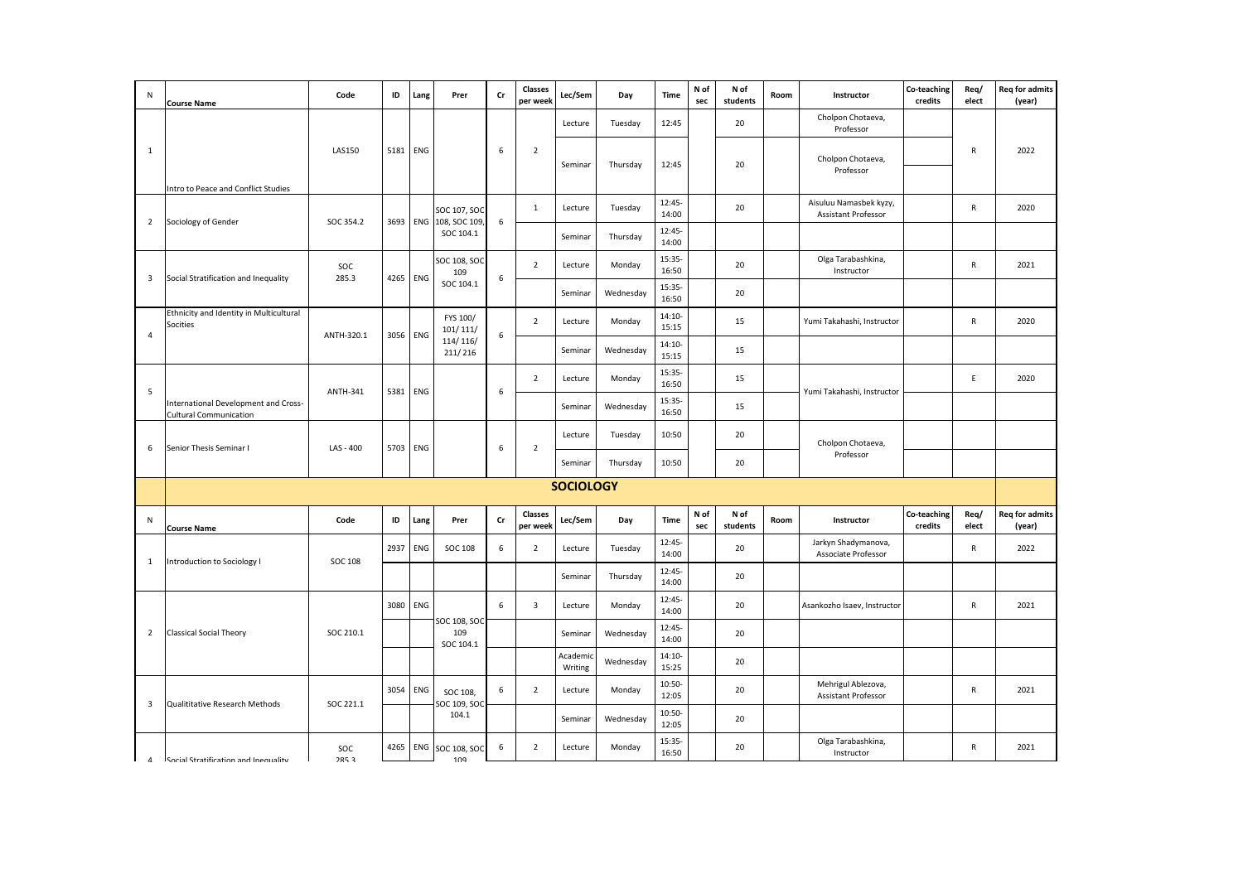| N                       | <b>Course Name</b>                                                    | Code            | ID   | Lang       | Prer                          | cr               | Classes<br>per week     | Lec/Sem             | Day       | <b>Time</b>       | N of<br>sec | N of<br>students | Room | Instructor                                    | Co-teaching<br>credits | Req/<br>elect | <b>Req for admits</b><br>(year) |
|-------------------------|-----------------------------------------------------------------------|-----------------|------|------------|-------------------------------|------------------|-------------------------|---------------------|-----------|-------------------|-------------|------------------|------|-----------------------------------------------|------------------------|---------------|---------------------------------|
|                         |                                                                       |                 |      |            |                               |                  |                         | Lecture             | Tuesday   | 12:45             |             | 20               |      | Cholpon Chotaeva,<br>Professor                |                        |               |                                 |
| $\mathbf{1}$            |                                                                       | <b>LAS150</b>   | 5181 | ENG        |                               | 6                | $\overline{2}$          |                     |           |                   |             |                  |      | Cholpon Chotaeva,                             |                        | R             | 2022                            |
|                         | Intro to Peace and Conflict Studies                                   |                 |      |            |                               |                  |                         | Seminar             | Thursday  | 12:45             |             | 20               |      | Professor                                     |                        |               |                                 |
|                         |                                                                       |                 |      |            | SOC 107, SOC                  |                  | $\mathbf{1}$            | Lecture             | Tuesday   | 12:45-<br>14:00   |             | 20               |      | Aisuluu Namasbek kyzy,<br>Assistant Professor |                        | R             | 2020                            |
| $\overline{2}$          | Sociology of Gender                                                   | SOC 354.2       | 3693 |            | ENG 108, SOC 109<br>SOC 104.1 | 6                |                         | Seminar             | Thursday  | 12:45-<br>14:00   |             |                  |      |                                               |                        |               |                                 |
| $\overline{\mathbf{3}}$ | Social Stratification and Inequality                                  | SOC<br>285.3    | 4265 | ENG        | SOC 108, SOC<br>109           | 6                | $\overline{2}$          | Lecture             | Monday    | 15:35-<br>16:50   |             | 20               |      | Olga Tarabashkina,<br>Instructor              |                        | R             | 2021                            |
|                         |                                                                       |                 |      |            | SOC 104.1                     |                  |                         | Seminar             | Wednesday | 15:35-<br>16:50   |             | 20               |      |                                               |                        |               |                                 |
| 4                       | Ethnicity and Identity in Multicultural<br>Socities                   | ANTH-320.1      | 3056 | ENG        | FYS 100/<br>101/111/          | $\boldsymbol{6}$ | $\overline{2}$          | Lecture             | Monday    | $14:10-$<br>15:15 |             | 15               |      | Yumi Takahashi, Instructor                    |                        | ${\sf R}$     | 2020                            |
|                         |                                                                       |                 |      |            | 114/116/<br>211/216           |                  |                         | Seminar             | Wednesday | 14:10-<br>15:15   |             | 15               |      |                                               |                        |               |                                 |
| 5                       |                                                                       | <b>ANTH-341</b> | 5381 | ENG        |                               | 6                | $\overline{2}$          | Lecture             | Monday    | 15:35-<br>16:50   |             | 15               |      | Yumi Takahashi, Instructor                    |                        | E             | 2020                            |
|                         | International Development and Cross-<br><b>Cultural Communication</b> |                 |      |            |                               |                  |                         | Seminar             | Wednesday | 15:35-<br>16:50   |             | 15               |      |                                               |                        |               |                                 |
| 6                       | Senior Thesis Seminar I                                               | LAS - 400       | 5703 | ENG        |                               | 6                | $\overline{2}$          | Lecture             | Tuesday   | 10:50             |             | 20               |      | Cholpon Chotaeva,                             |                        |               |                                 |
|                         |                                                                       |                 |      |            |                               |                  |                         | Seminar             | Thursday  | 10:50             |             | 20               |      | Professor                                     |                        |               |                                 |
|                         |                                                                       |                 |      |            |                               |                  |                         | <b>SOCIOLOGY</b>    |           |                   |             |                  |      |                                               |                        |               |                                 |
| N                       | <b>Course Name</b>                                                    | Code            | ID   | Lang       | Prer                          | Cr               | Classes<br>per week     | Lec/Sem             | Day       | Time              | N of<br>sec | N of<br>students | Room | Instructor                                    | Co-teaching<br>credits | Req/<br>elect | <b>Req for admits</b><br>(year) |
| 1                       | Introduction to Sociology I                                           | <b>SOC 108</b>  | 2937 | ENG        | <b>SOC 108</b>                | 6                | $\overline{2}$          | Lecture             | Tuesday   | 12:45-<br>14:00   |             | 20               |      | Jarkyn Shadymanova,<br>Associate Professor    |                        | $\mathsf{R}$  | 2022                            |
|                         |                                                                       |                 |      |            |                               |                  |                         | Seminar             | Thursday  | 12:45-<br>14:00   |             | 20               |      |                                               |                        |               |                                 |
|                         |                                                                       |                 | 3080 | <b>ENG</b> | SOC 108, SOC                  | 6                | $\overline{\mathbf{3}}$ | Lecture             | Monday    | 12:45-<br>14:00   |             | 20               |      | Asankozho Isaev, Instructor                   |                        | R             | 2021                            |
| $\overline{2}$          | <b>Classical Social Theory</b>                                        | SOC 210.1       |      |            | 109<br>SOC 104.1              |                  |                         | Seminar             | Wednesday | 12:45-<br>14:00   |             | 20               |      |                                               |                        |               |                                 |
|                         |                                                                       |                 |      |            |                               |                  |                         | Academic<br>Writing | Wednesday | $14:10-$<br>15:25 |             | 20               |      |                                               |                        |               |                                 |
| 3                       | Qualititative Research Methods                                        | SOC 221.1       | 3054 | <b>ENG</b> | SOC 108,<br>SOC 109, SOC      | 6                | $\overline{2}$          | Lecture             | Monday    | 10:50-<br>12:05   |             | 20               |      | Mehrigul Ablezova,<br>Assistant Professor     |                        | $\mathsf{R}$  | 2021                            |
|                         |                                                                       |                 |      |            | 104.1                         |                  |                         | Seminar             | Wednesday | 10:50-<br>12:05   |             | 20               |      |                                               |                        |               |                                 |
|                         | 4 Social Stratification and Inequality                                | SOC<br>2853     | 4265 | ENG        | SOC 108, SOC<br>109           | 6                | $\overline{2}$          | Lecture             | Monday    | 15:35-<br>16:50   |             | 20               |      | Olga Tarabashkina,<br>Instructor              |                        | $\mathsf{R}$  | 2021                            |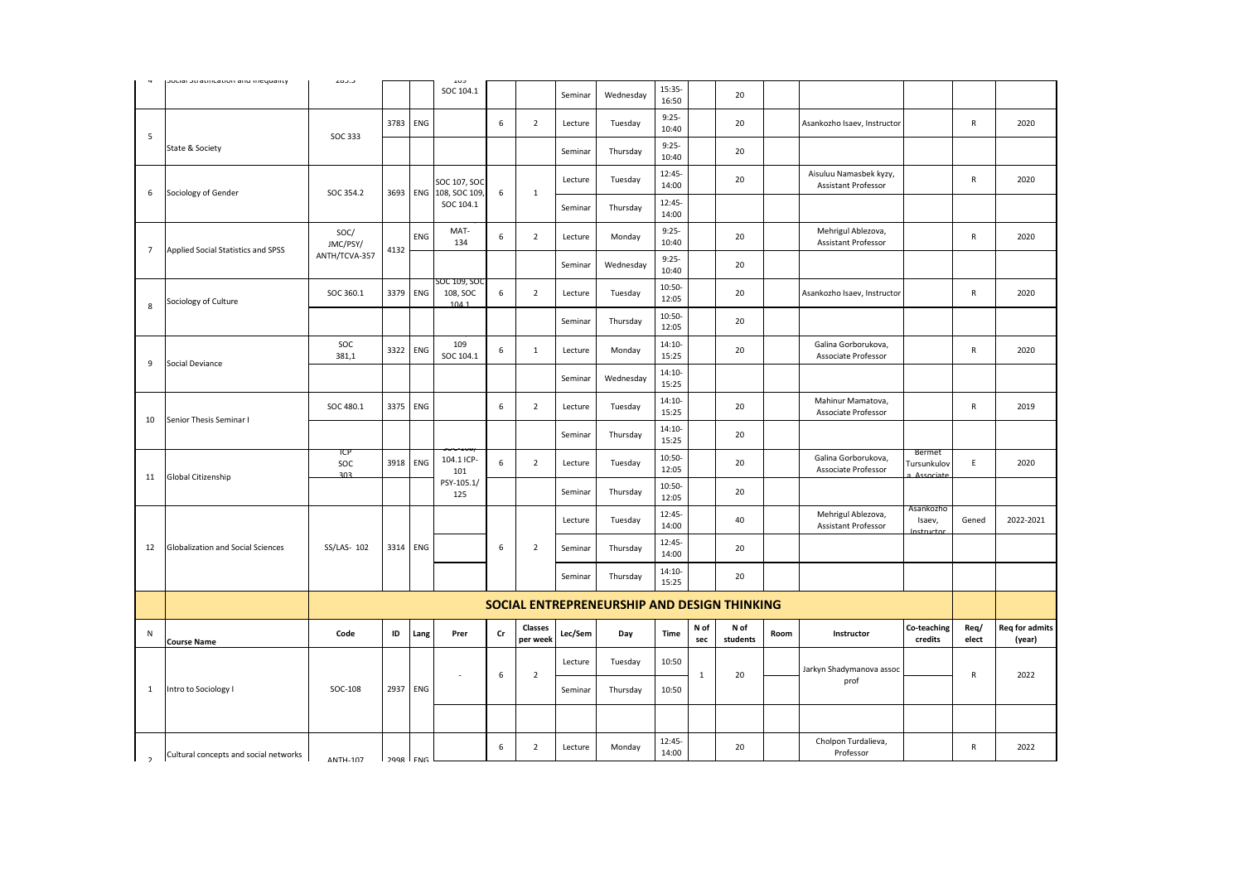|                                          |                                                                                                                                                                       |                                      |      | SOC 104.1                                                            |                                                                              |                     | Seminar                       | Wednesday | 15:35-<br>16:50   |             | 20               |      |                                                      |                          |                     |                                 |
|------------------------------------------|-----------------------------------------------------------------------------------------------------------------------------------------------------------------------|--------------------------------------|------|----------------------------------------------------------------------|------------------------------------------------------------------------------|---------------------|-------------------------------|-----------|-------------------|-------------|------------------|------|------------------------------------------------------|--------------------------|---------------------|---------------------------------|
|                                          |                                                                                                                                                                       |                                      |      |                                                                      | 6                                                                            | $\overline{2}$      | Lecture                       | Tuesday   | $9:25-$<br>10:40  |             | 20               |      | Asankozho Isaev, Instructor                          |                          | $\mathsf{R}$        | 2020                            |
| State & Society                          |                                                                                                                                                                       |                                      |      |                                                                      |                                                                              |                     | Seminar                       | Thursday  | $9:25-$<br>10:40  |             | 20               |      |                                                      |                          |                     |                                 |
|                                          |                                                                                                                                                                       |                                      |      | SOC 107, SOC                                                         |                                                                              |                     | Lecture                       | Tuesday   | 12:45-<br>14:00   |             | 20               |      | Aisuluu Namasbek kyzy,<br><b>Assistant Professor</b> |                          | $\mathsf{R}$        | 2020                            |
|                                          |                                                                                                                                                                       |                                      |      | SOC 104.1                                                            |                                                                              |                     | Seminar                       | Thursday  | 12:45-<br>14:00   |             |                  |      |                                                      |                          |                     |                                 |
|                                          | SOC/<br>JMC/PSY/                                                                                                                                                      |                                      | ENG  | MAT-<br>134                                                          | 6                                                                            | $\overline{2}$      | Lecture                       | Monday    | $9:25-$<br>10:40  |             | 20               |      | Mehrigul Ablezova,<br>Assistant Professor            |                          | R                   | 2020                            |
|                                          | ANTH/TCVA-357                                                                                                                                                         |                                      |      |                                                                      |                                                                              |                     | Seminar                       | Wednesday | $9:25-$<br>10:40  |             | 20               |      |                                                      |                          |                     |                                 |
| Sociology of Culture                     | SOC 360.1                                                                                                                                                             |                                      |      | 108, SOC<br>1041                                                     | 6                                                                            | $\overline{2}$      | Lecture                       | Tuesday   | 10:50-<br>12:05   |             | 20               |      | Asankozho Isaev, Instructor                          |                          | ${\sf R}$           | 2020                            |
|                                          |                                                                                                                                                                       |                                      |      |                                                                      |                                                                              |                     | Seminar                       | Thursday  | 10:50-<br>12:05   |             | 20               |      |                                                      |                          |                     |                                 |
|                                          | SOC<br>381,1                                                                                                                                                          |                                      |      | 109<br>SOC 104.1                                                     | 6                                                                            | $\mathbf{1}$        | Lecture                       | Monday    | 14:10-<br>15:25   |             | 20               |      | Galina Gorborukova,<br>Associate Professor           |                          | $\mathsf{R}$        | 2020                            |
|                                          |                                                                                                                                                                       |                                      |      |                                                                      |                                                                              |                     | Seminar                       | Wednesday | 14:10-<br>15:25   |             |                  |      |                                                      |                          |                     |                                 |
|                                          | SOC 480.1                                                                                                                                                             |                                      |      |                                                                      | 6                                                                            | $\overline{2}$      | Lecture                       | Tuesday   | 14:10-<br>15:25   |             | 20               |      | Mahinur Mamatova,<br>Associate Professor             |                          | R                   | 2019                            |
|                                          |                                                                                                                                                                       |                                      |      |                                                                      |                                                                              |                     | Seminar                       | Thursday  | 14:10-<br>15:25   |             | 20               |      |                                                      |                          |                     |                                 |
|                                          | SOC<br>303                                                                                                                                                            |                                      |      | 104.1 ICP-<br>101                                                    | 6                                                                            | $\overline{2}$      | Lecture                       | Tuesday   | 10:50-<br>12:05   |             | 20               |      | Galina Gorborukova,<br>Associate Professor           | Tursunkulov<br>Associate | E                   | 2020                            |
|                                          |                                                                                                                                                                       |                                      |      | 125                                                                  |                                                                              |                     | Seminar                       | Thursday  | 10:50-<br>12:05   |             | 20               |      |                                                      |                          |                     |                                 |
|                                          |                                                                                                                                                                       |                                      |      |                                                                      |                                                                              |                     | Lecture                       | Tuesday   | 12:45-<br>14:00   |             | 40               |      | Mehrigul Ablezova,<br>Assistant Professor            | Isaev,<br>Instructor     | Gened               | 2022-2021                       |
| <b>Globalization and Social Sciences</b> | SS/LAS- 102                                                                                                                                                           |                                      |      |                                                                      | 6                                                                            | $\overline{2}$      | Seminar                       | Thursday  | 12:45-<br>14:00   |             | 20               |      |                                                      |                          |                     |                                 |
|                                          |                                                                                                                                                                       |                                      |      |                                                                      |                                                                              |                     | Seminar                       | Thursday  | $14:10-$<br>15:25 |             | 20               |      |                                                      |                          |                     |                                 |
|                                          |                                                                                                                                                                       |                                      |      |                                                                      |                                                                              |                     |                               |           |                   |             |                  |      |                                                      |                          |                     |                                 |
| <b>Course Name</b>                       | Code                                                                                                                                                                  | ID                                   | Lang | Prer                                                                 | $\mathsf{Cr}$                                                                | Classes<br>per week | Lec/Sem                       | Day       | Time              | N of<br>sec | N of<br>students | Room | Instructor                                           | Co-teaching<br>credits   | Req/<br>elect       | <b>Req for admits</b><br>(year) |
|                                          |                                                                                                                                                                       |                                      |      |                                                                      |                                                                              |                     | Lecture                       | Tuesday   | 10:50             |             |                  |      | Jarkyn Shadymanova assoc                             |                          |                     | 2022                            |
|                                          |                                                                                                                                                                       |                                      |      |                                                                      |                                                                              |                     | Seminar                       | Thursday  | 10:50             |             |                  |      | prof                                                 |                          |                     |                                 |
| Intro to Sociology I                     | SOC-108                                                                                                                                                               |                                      |      |                                                                      |                                                                              |                     |                               |           |                   |             |                  |      |                                                      |                          |                     |                                 |
|                                          |                                                                                                                                                                       |                                      |      |                                                                      |                                                                              |                     |                               |           |                   |             |                  |      |                                                      |                          |                     |                                 |
|                                          | pocial peraellicación anu micquality<br>Sociology of Gender<br>Applied Social Statistics and SPSS<br>Social Deviance<br>Senior Thesis Seminar I<br>Global Citizenship | د.دنء<br>SOC 333<br>SOC 354.2<br>ICP | 4132 | 3783 ENG<br>3379 ENG<br>3322 ENG<br>3375 ENG<br>3918 ENG<br>3314 ENG | ر ں د<br>108, SOC 109,<br>3693 ENG<br>5OC 109, SOC<br>PSY-105.1/<br>2937 ENG | 6<br>6              | $\mathbf 1$<br>$\overline{2}$ |           |                   |             | $\mathbf{1}$     | 20   | SOCIAL ENTREPRENEURSHIP AND DESIGN THINKING          |                          | Bermet<br>Asankozho | ${\sf R}$                       |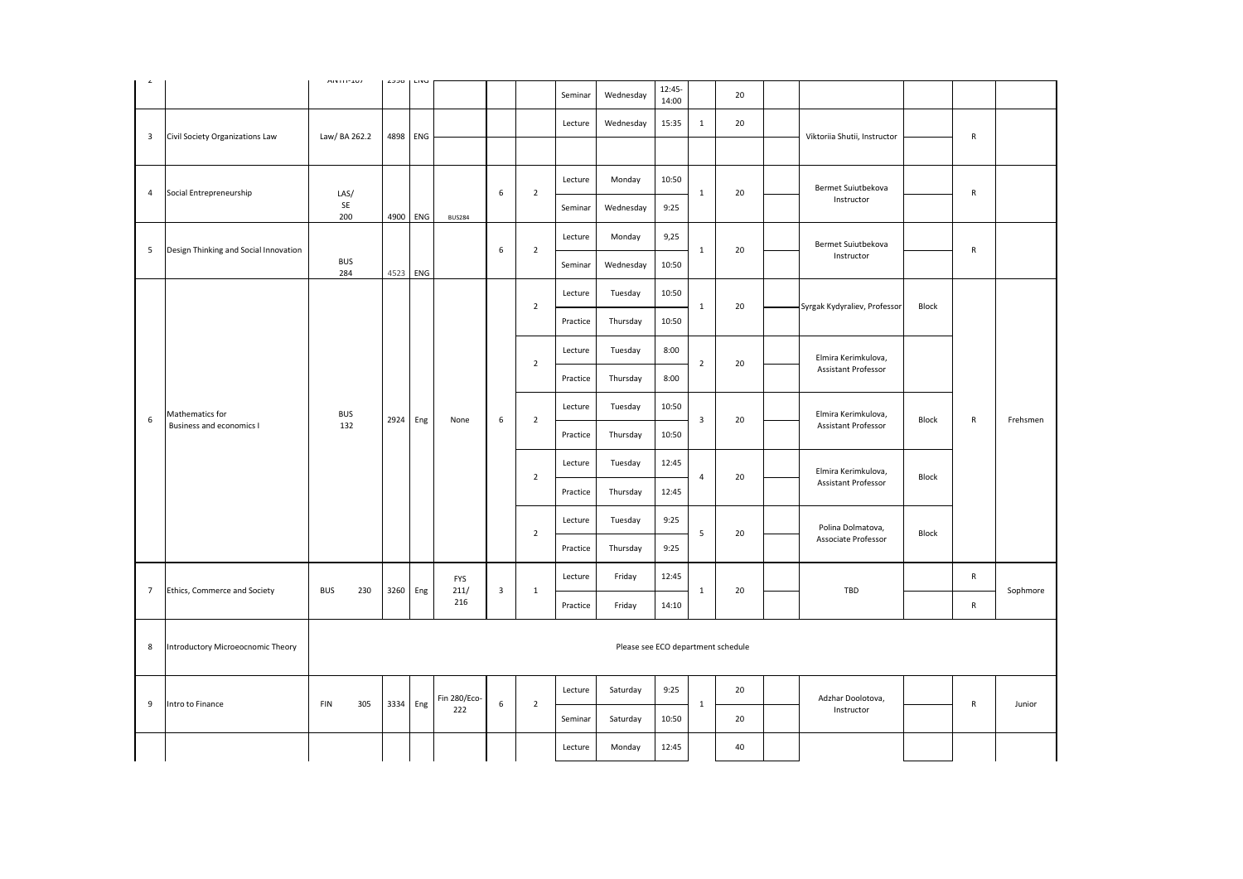|                         |                                             | $M N 111 - 207$   | ں رہے    | LIVU     |                     |   |                | Seminar  | Wednesday                          | 12:45-<br>14:00 |                | 20 |                     |                                                   |       |              |          |
|-------------------------|---------------------------------------------|-------------------|----------|----------|---------------------|---|----------------|----------|------------------------------------|-----------------|----------------|----|---------------------|---------------------------------------------------|-------|--------------|----------|
|                         |                                             |                   |          |          |                     |   |                | Lecture  | Wednesday                          | 15:35           | $\mathbf{1}$   | 20 |                     |                                                   |       |              |          |
| $\overline{\mathbf{3}}$ | Civil Society Organizations Law             | Law/ BA 262.2     | 4898     | ENG      |                     |   |                |          |                                    |                 |                |    |                     | Viktoriia Shutii, Instructor                      |       | R            |          |
|                         |                                             |                   |          |          |                     |   |                | Lecture  | Monday                             | 10:50           |                |    |                     | Bermet Suiutbekova                                |       |              |          |
| 4                       | Social Entrepreneurship                     | LAS/<br>SE<br>200 |          | 4900 ENG | <b>BUS284</b>       | 6 | $\overline{2}$ | Seminar  | Wednesday                          | 9:25            | $\mathbf{1}$   | 20 |                     | Instructor                                        |       | $\mathsf{R}$ |          |
|                         |                                             |                   |          |          |                     |   |                | Lecture  | Monday                             | 9,25            |                |    |                     | Bermet Suiutbekova                                |       |              |          |
| 5                       | Design Thinking and Social Innovation       | <b>BUS</b><br>284 |          | 4523 ENG |                     | 6 | $\overline{2}$ | Seminar  | Wednesday                          | 10:50           | $\mathbf{1}$   | 20 |                     | Instructor                                        |       | ${\sf R}$    |          |
|                         |                                             |                   |          |          |                     |   |                | Lecture  | Tuesday                            | 10:50           |                |    |                     |                                                   |       |              |          |
|                         | Mathematics for<br>Business and economics I |                   |          |          |                     |   | $\overline{2}$ | Practice | Thursday                           | 10:50           | $\mathbf{1}$   | 20 |                     | Syrgak Kydyraliev, Professor                      | Block |              |          |
|                         |                                             |                   |          |          |                     |   |                | Lecture  | Tuesday                            | 8:00            |                |    | Elmira Kerimkulova, |                                                   |       |              |          |
|                         |                                             |                   |          | 2924 Eng | None                |   | $\overline{2}$ | Practice | Thursday                           | 8:00            | $\overline{2}$ | 20 |                     | Assistant Professor                               |       |              |          |
|                         |                                             |                   |          |          |                     |   |                | Lecture  | Tuesday                            | 10:50           | $\mathsf 3$    |    |                     | Elmira Kerimkulova,<br><b>Assistant Professor</b> |       |              |          |
| $\,$ 6                  |                                             | <b>BUS</b><br>132 |          |          |                     | 6 | $\overline{2}$ | Practice | Thursday                           | 10:50           |                | 20 |                     |                                                   | Block | ${\sf R}$    | Frehsmen |
|                         |                                             |                   |          |          |                     |   |                | Lecture  | Tuesday                            | 12:45           |                |    |                     |                                                   |       |              |          |
|                         |                                             |                   |          |          |                     |   | $\overline{2}$ | Practice | Thursday                           | 12:45           | $\overline{4}$ | 20 |                     | Elmira Kerimkulova,<br><b>Assistant Professor</b> | Block |              |          |
|                         |                                             |                   |          |          |                     |   |                | Lecture  | Tuesday                            | 9:25            | 5              |    |                     | Polina Dolmatova,<br>Associate Professor          |       |              |          |
|                         |                                             |                   |          |          |                     |   | $\overline{2}$ | Practice | Thursday                           | 9:25            |                | 20 |                     |                                                   | Block |              |          |
|                         |                                             |                   |          |          | <b>FYS</b>          |   |                | Lecture  | Friday                             | 12:45           |                |    |                     |                                                   |       | $\mathsf{R}$ |          |
| $\overline{7}$          | Ethics, Commerce and Society                | <b>BUS</b><br>230 | 3260     | Eng      | 211/<br>216         | 3 | 1              | Practice | Friday                             | 14:10           | $\mathbf{1}$   | 20 |                     | TBD                                               |       | $\mathsf{R}$ | Sophmore |
|                         |                                             |                   |          |          |                     |   |                |          |                                    |                 |                |    |                     |                                                   |       |              |          |
| 8                       | Introductory Microeocnomic Theory           |                   |          |          |                     |   |                |          | Please see ECO department schedule |                 |                |    |                     |                                                   |       |              |          |
|                         |                                             |                   |          |          |                     |   |                | Lecture  | Saturday                           | 9:25            |                | 20 |                     |                                                   |       |              |          |
| 9                       | Intro to Finance                            | <b>FIN</b><br>305 | 3334 Eng |          | Fin 280/Eco-<br>222 | 6 | $\overline{2}$ | Seminar  | Saturday                           | 10:50           | $\mathbf{1}$   | 20 |                     | Adzhar Doolotova,<br>Instructor                   |       | ${\sf R}$    | Junior   |
|                         |                                             |                   |          |          |                     |   |                | Lecture  | Monday                             | 12:45           |                | 40 |                     |                                                   |       |              |          |
|                         |                                             |                   |          |          |                     |   |                |          |                                    |                 |                |    |                     |                                                   |       |              |          |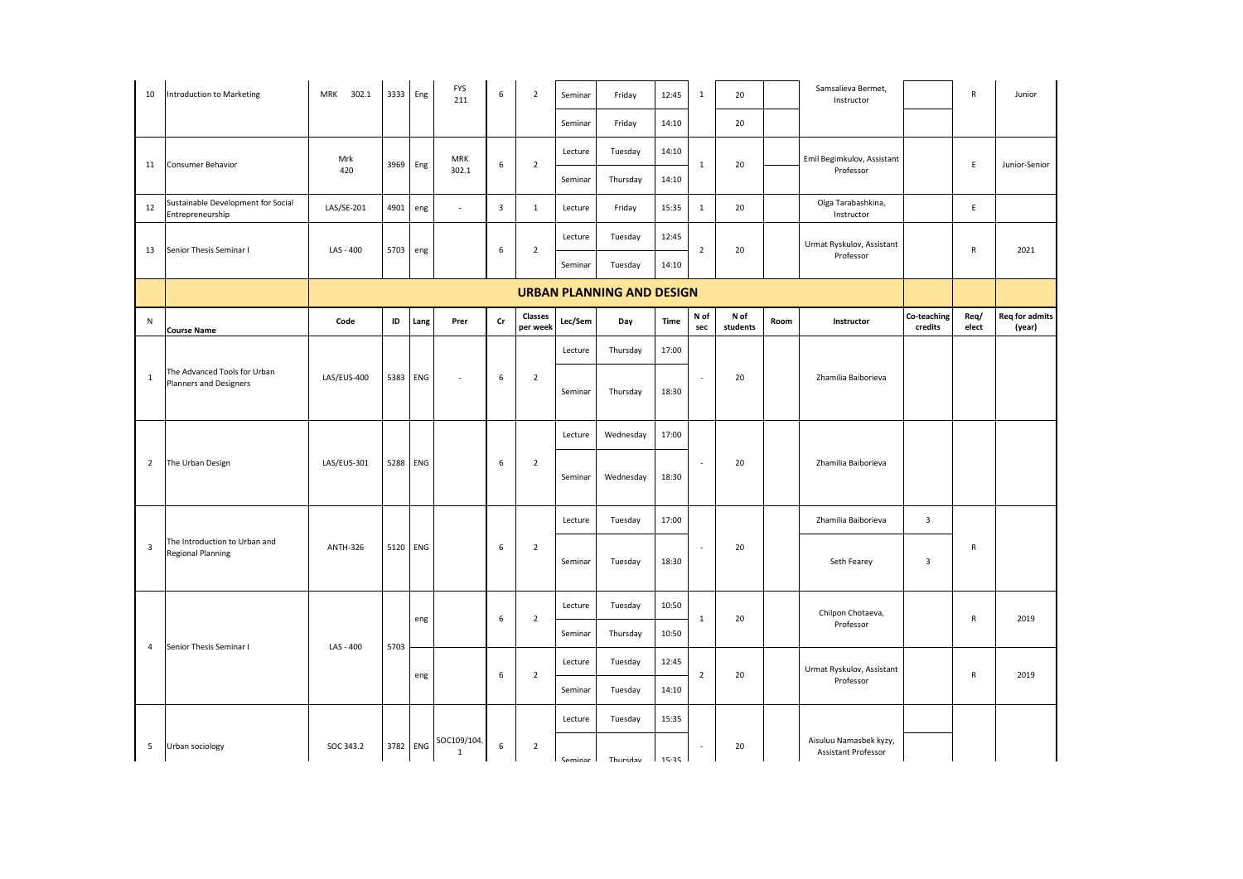| 10                      | <b>Introduction to Marketing</b>                          | MRK 302.1                        | 3333 Eng |      | <b>FYS</b><br>211           | 6                       | $\overline{2}$             | Seminar   | Friday    | 12:45   | $\mathbf{1}$                | 20               |      | Samsalieva Bermet,<br>Instructor              |                         | $\mathsf{R}$  | Junior                          |
|-------------------------|-----------------------------------------------------------|----------------------------------|----------|------|-----------------------------|-------------------------|----------------------------|-----------|-----------|---------|-----------------------------|------------------|------|-----------------------------------------------|-------------------------|---------------|---------------------------------|
|                         |                                                           |                                  |          |      |                             |                         |                            | Seminar   | Friday    | 14:10   |                             | 20               |      |                                               |                         |               |                                 |
| 11                      |                                                           | Mrk                              | 3969     |      | <b>MRK</b>                  | 6                       | $\overline{2}$             | Lecture   | Tuesday   | 14:10   | $\mathbf{1}$                | 20               |      | Emil Begimkulov, Assistant                    |                         | E             | Junior-Senior                   |
|                         | Consumer Behavior                                         | 420                              |          | Eng  | 302.1                       |                         |                            | Seminar   | Thursday  | 14:10   |                             |                  |      | Professor                                     |                         |               |                                 |
| 12                      | Sustainable Development for Social<br>Entrepreneurship    | LAS/SE-201                       | 4901     | eng  | $\sim$                      | $\overline{\mathbf{3}}$ | $\mathbf{1}$               | Lecture   | Friday    | 15:35   | 1                           | 20               |      | Olga Tarabashkina,<br>Instructor              |                         | E             |                                 |
| 13                      | Senior Thesis Seminar I                                   | LAS - 400                        | 5703     | eng  |                             | 6                       | $\overline{2}$             | Lecture   | Tuesday   | 12:45   | $\overline{2}$              | 20               |      | Urmat Ryskulov, Assistant                     |                         | ${\sf R}$     | 2021                            |
|                         |                                                           |                                  |          |      |                             |                         |                            | Seminar   | Tuesday   | 14:10   |                             |                  |      | Professor                                     |                         |               |                                 |
|                         |                                                           | <b>URBAN PLANNING AND DESIGN</b> |          |      |                             |                         |                            |           |           |         |                             |                  |      |                                               |                         |               |                                 |
| N                       | <b>Course Name</b>                                        | Code                             | ID       | Lang | Prer                        | Cr                      | <b>Classes</b><br>per week | Lec/Sem   | Day       | Time    | N of<br>sec                 | N of<br>students | Room | Instructor                                    | Co-teaching<br>credits  | Req/<br>elect | <b>Req for admits</b><br>(year) |
|                         |                                                           |                                  |          |      |                             |                         |                            | Lecture   | Thursday  | 17:00   |                             |                  |      |                                               |                         |               |                                 |
| $\mathbf{1}$            | The Advanced Tools for Urban<br>Planners and Designers    | LAS/EUS-400                      | 5383     | ENG  | $\bar{z}$                   | 6                       | $\overline{2}$             | Seminar   | Thursday  | 18:30   | $\mathcal{L}_{\mathcal{A}}$ | 20               |      | Zhamilia Baiborieva                           |                         |               |                                 |
|                         |                                                           |                                  |          |      |                             |                         |                            | Lecture   | Wednesday | 17:00   |                             |                  |      |                                               |                         |               |                                 |
| $\overline{2}$          | The Urban Design                                          | LAS/EUS-301                      | 5288     | ENG  |                             | 6                       | $\overline{2}$             | Seminar   | Wednesday | 18:30   | ×.                          | 20               |      | Zhamilia Baiborieva                           |                         |               |                                 |
|                         |                                                           |                                  |          |      |                             |                         |                            | Lecture   | Tuesday   | 17:00   |                             |                  |      | Zhamilia Baiborieva                           | $\overline{\mathbf{3}}$ |               |                                 |
| $\overline{\mathbf{3}}$ | The Introduction to Urban and<br><b>Regional Planning</b> | <b>ANTH-326</b>                  | 5120     | ENG  |                             | 6                       | $\overline{2}$             | Seminar   | Tuesday   | 18:30   | $\overline{\phantom{a}}$    | 20               |      | Seth Fearey                                   | $\overline{\mathbf{3}}$ | R             |                                 |
|                         |                                                           |                                  |          |      |                             | 6                       | $\overline{2}$             | Lecture   | Tuesday   | 10:50   |                             |                  |      | Chilpon Chotaeva,                             |                         |               | 2019                            |
|                         |                                                           |                                  |          | eng  |                             |                         |                            | Seminar   | Thursday  | 10:50   | $\mathbf{1}$                | 20               |      | Professor                                     |                         | R             |                                 |
| $\overline{4}$          | Senior Thesis Seminar I                                   | LAS - 400                        | 5703     |      |                             | 6                       | $\overline{2}$             | Lecture   | Tuesday   | 12:45   | $\overline{2}$              | 20               |      | Urmat Ryskulov, Assistant                     |                         |               | 2019                            |
|                         |                                                           |                                  |          | eng  |                             |                         |                            | Seminar   | Tuesday   | 14:10   |                             |                  |      | Professor                                     |                         | $\mathsf{R}$  |                                 |
|                         |                                                           |                                  |          |      |                             |                         |                            | Lecture   | Tuesday   | 15:35   |                             |                  |      |                                               |                         |               |                                 |
| 5                       | Urban sociology                                           | SOC 343.2                        | 3782     | ENG  | SOC109/104.<br>$\mathbf{1}$ | 6                       | $\overline{2}$             | Seminar I | Thursday  | 1.35.35 | $\sim$                      | 20               |      | Aisuluu Namasbek kyzy,<br>Assistant Professor |                         |               |                                 |